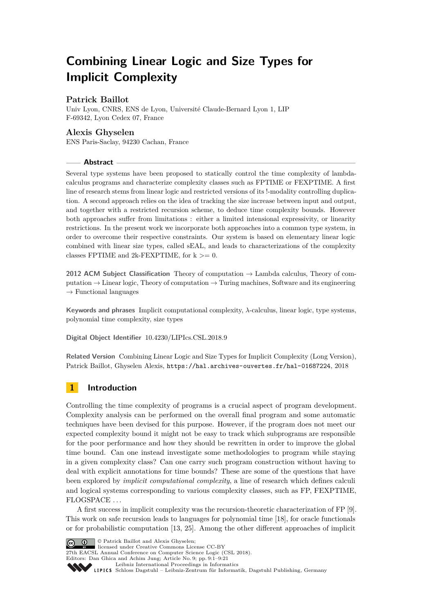# **Combining Linear Logic and Size Types for Implicit Complexity**

## **Patrick Baillot**

Univ Lyon, CNRS, ENS de Lyon, Université Claude-Bernard Lyon 1, LIP F-69342, Lyon Cedex 07, France

## **Alexis Ghyselen**

ENS Paris-Saclay, 94230 Cachan, France

#### **Abstract**

Several type systems have been proposed to statically control the time complexity of lambdacalculus programs and characterize complexity classes such as FPTIME or FEXPTIME. A first line of research stems from linear logic and restricted versions of its !-modality controlling duplication. A second approach relies on the idea of tracking the size increase between input and output, and together with a restricted recursion scheme, to deduce time complexity bounds. However both approaches suffer from limitations : either a limited intensional expressivity, or linearity restrictions. In the present work we incorporate both approaches into a common type system, in order to overcome their respective constraints. Our system is based on elementary linear logic combined with linear size types, called sEAL, and leads to characterizations of the complexity classes FPTIME and 2k-FEXPTIME, for  $k \geq 0$ .

**2012 ACM Subject Classification** Theory of computation → Lambda calculus, Theory of computation  $\rightarrow$  Linear logic, Theory of computation  $\rightarrow$  Turing machines, Software and its engineering  $\rightarrow$  Functional languages

**Keywords and phrases** Implicit computational complexity, *λ*-calculus, linear logic, type systems, polynomial time complexity, size types

**Digital Object Identifier** [10.4230/LIPIcs.CSL.2018.9](http://dx.doi.org/10.4230/LIPIcs.CSL.2018.9)

**Related Version** Combining Linear Logic and Size Types for Implicit Complexity (Long Version), Patrick Baillot, Ghyselen Alexis, <https://hal.archives-ouvertes.fr/hal-01687224>, 2018

# **1 Introduction**

Controlling the time complexity of programs is a crucial aspect of program development. Complexity analysis can be performed on the overall final program and some automatic techniques have been devised for this purpose. However, if the program does not meet our expected complexity bound it might not be easy to track which subprograms are responsible for the poor performance and how they should be rewritten in order to improve the global time bound. Can one instead investigate some methodologies to program while staying in a given complexity class? Can one carry such program construction without having to deal with explicit annotations for time bounds? These are some of the questions that have been explored by *implicit computational complexity*, a line of research which defines calculi and logical systems corresponding to various complexity classes, such as FP, FEXPTIME, FLOGSPACE . . .

A first success in implicit complexity was the recursion-theoretic characterization of FP [\[9\]](#page-15-0). This work on safe recursion leads to languages for polynomial time [\[18\]](#page-15-1), for oracle functionals or for probabilistic computation [\[13,](#page-15-2) [25\]](#page-16-0). Among the other different approaches of implicit



 $\bigcirc$   $\bigcirc$  Patrick Baillot and Alexis Ghyselen; licensed under Creative Commons License CC-BY

27th EACSL Annual Conference on Computer Science Logic (CSL 2018). Editors: Dan Ghica and Achim Jung; Article No. 9; pp. 9:1–9[:21](#page-20-0)

[Leibniz International Proceedings in Informatics](http://www.dagstuhl.de/lipics/)

[Schloss Dagstuhl – Leibniz-Zentrum für Informatik, Dagstuhl Publishing, Germany](http://www.dagstuhl.de)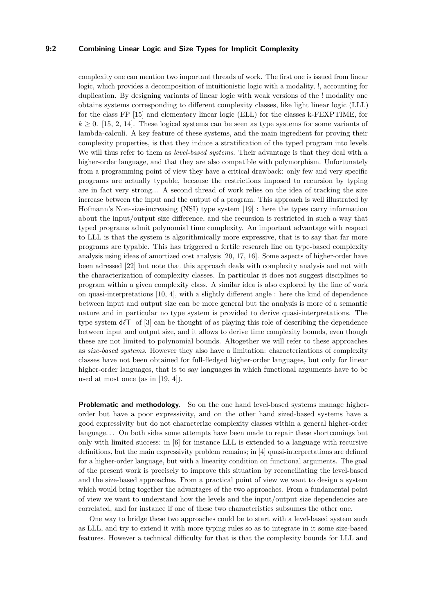## **9:2 Combining Linear Logic and Size Types for Implicit Complexity**

complexity one can mention two important threads of work. The first one is issued from linear logic, which provides a decomposition of intuitionistic logic with a modality, !, accounting for duplication. By designing variants of linear logic with weak versions of the ! modality one obtains systems corresponding to different complexity classes, like light linear logic (LLL) for the class FP [\[15\]](#page-15-3) and elementary linear logic (ELL) for the classes k-FEXPTIME, for  $k \geq 0$ . [\[15,](#page-15-3) [2,](#page-15-4) [14\]](#page-15-5). These logical systems can be seen as type systems for some variants of lambda-calculi. A key feature of these systems, and the main ingredient for proving their complexity properties, is that they induce a stratification of the typed program into levels. We will thus refer to them as *level-based systems*. Their advantage is that they deal with a higher-order language, and that they are also compatible with polymorphism. Unfortunately from a programming point of view they have a critical drawback: only few and very specific programs are actually typable, because the restrictions imposed to recursion by typing are in fact very strong... A second thread of work relies on the idea of tracking the size increase between the input and the output of a program. This approach is well illustrated by Hofmann's Non-size-increasing (NSI) type system [\[19\]](#page-15-6) : here the types carry information about the input/output size difference, and the recursion is restricted in such a way that typed programs admit polynomial time complexity. An important advantage with respect to LLL is that the system is algorithmically more expressive, that is to say that far more programs are typable. This has triggered a fertile research line on type-based complexity analysis using ideas of amortized cost analysis [\[20,](#page-15-7) [17,](#page-15-8) [16\]](#page-15-9). Some aspects of higher-order have been adressed [\[22\]](#page-16-1) but note that this approach deals with complexity analysis and not with the characterization of complexity classes. In particular it does not suggest disciplines to program within a given complexity class. A similar idea is also explored by the line of work on quasi-interpretations [\[10,](#page-15-10) [4\]](#page-15-11), with a slightly different angle : here the kind of dependence between input and output size can be more general but the analysis is more of a semantic nature and in particular no type system is provided to derive quasi-interpretations. The type system  $d\ell\mathsf{T}$  of [\[3\]](#page-15-12) can be thought of as playing this role of describing the dependence between input and output size, and it allows to derive time complexity bounds, even though these are not limited to polynomial bounds. Altogether we will refer to these approaches as *size-based systems*. However they also have a limitation: characterizations of complexity classes have not been obtained for full-fledged higher-order languages, but only for linear higher-order languages, that is to say languages in which functional arguments have to be used at most once (as in [\[19,](#page-15-6) [4\]](#page-15-11)).

**Problematic and methodology.** So on the one hand level-based systems manage higherorder but have a poor expressivity, and on the other hand sized-based systems have a good expressivity but do not characterize complexity classes within a general higher-order language. . . On both sides some attempts have been made to repair these shortcomings but only with limited success: in [\[6\]](#page-15-13) for instance LLL is extended to a language with recursive definitions, but the main expressivity problem remains; in [\[4\]](#page-15-11) quasi-interpretations are defined for a higher-order language, but with a linearity condition on functional arguments. The goal of the present work is precisely to improve this situation by reconciliating the level-based and the size-based approaches. From a practical point of view we want to design a system which would bring together the advantages of the two approaches. From a fundamental point of view we want to understand how the levels and the input/output size dependencies are correlated, and for instance if one of these two characteristics subsumes the other one.

One way to bridge these two approaches could be to start with a level-based system such as LLL, and try to extend it with more typing rules so as to integrate in it some size-based features. However a technical difficulty for that is that the complexity bounds for LLL and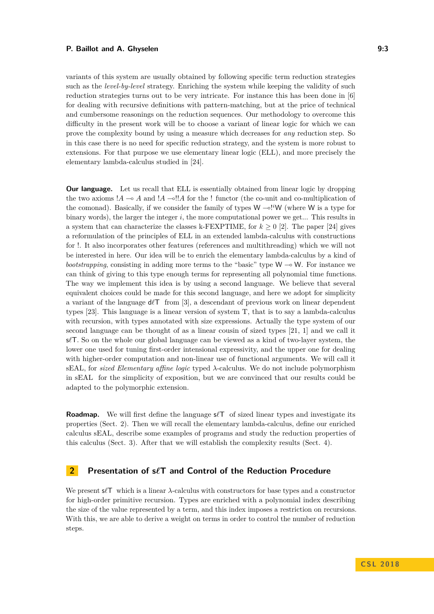#### **P. Baillot and A. Ghyselen 6. 2008 19:3** 2.3

variants of this system are usually obtained by following specific term reduction strategies such as the *level-by-level* strategy. Enriching the system while keeping the validity of such reduction strategies turns out to be very intricate. For instance this has been done in [\[6\]](#page-15-13) for dealing with recursive definitions with pattern-matching, but at the price of technical and cumbersome reasonings on the reduction sequences. Our methodology to overcome this difficulty in the present work will be to choose a variant of linear logic for which we can prove the complexity bound by using a measure which decreases for *any* reduction step. So in this case there is no need for specific reduction strategy, and the system is more robust to extensions. For that purpose we use elementary linear logic (ELL), and more precisely the elementary lambda-calculus studied in [\[24\]](#page-16-2).

**Our language.** Let us recall that ELL is essentially obtained from linear logic by dropping the two axioms  $!A \rightarrow A$  and  $!A \rightarrow II$  for the ! functor (the co-unit and co-multiplication of the comonad). Basically, if we consider the family of types  $W \sim^{i} W$  (where W is a type for binary words), the larger the integer *i*, the more computational power we get... This results in a system that can characterize the classes k-FEXPTIME, for  $k \geq 0$  [\[2\]](#page-15-4). The paper [\[24\]](#page-16-2) gives a reformulation of the principles of ELL in an extended lambda-calculus with constructions for !. It also incorporates other features (references and multithreading) which we will not be interested in here. Our idea will be to enrich the elementary lambda-calculus by a kind of *bootstrapping*, consisting in adding more terms to the "basic" type  $W \rightarrow W$ . For instance we can think of giving to this type enough terms for representing all polynomial time functions. The way we implement this idea is by using a second language. We believe that several equivalent choices could be made for this second language, and here we adopt for simplicity a variant of the language  $d\ell\mathsf{T}$  from [\[3\]](#page-15-12), a descendant of previous work on linear dependent types [\[23\]](#page-16-3). This language is a linear version of system T, that is to say a lambda-calculus with recursion, with types annotated with size expressions. Actually the type system of our second language can be thought of as a linear cousin of sized types [\[21,](#page-16-4) [1\]](#page-15-14) and we call it s*`*T. So on the whole our global language can be viewed as a kind of two-layer system, the lower one used for tuning first-order intensional expressivity, and the upper one for dealing with higher-order computation and non-linear use of functional arguments. We will call it sEAL, for *sized Elementary affine logic* typed *λ*-calculus. We do not include polymorphism in sEAL for the simplicity of exposition, but we are convinced that our results could be adapted to the polymorphic extension.

**Roadmap.** We will first define the language  $s\ell\mathsf{T}$  of sized linear types and investigate its properties (Sect. 2). Then we will recall the elementary lambda-calculus, define our enriched calculus sEAL, describe some examples of programs and study the reduction properties of this calculus (Sect. 3). After that we will establish the complexity results (Sect. 4).

# **2 Presentation of s***`***T and Control of the Reduction Procedure**

We present s*`*T which is a linear *λ*-calculus with constructors for base types and a constructor for high-order primitive recursion. Types are enriched with a polynomial index describing the size of the value represented by a term, and this index imposes a restriction on recursions. With this, we are able to derive a weight on terms in order to control the number of reduction steps.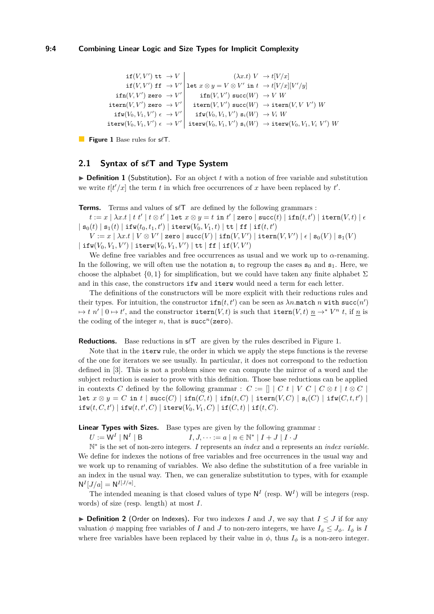<span id="page-3-0"></span>
$$
\begin{array}{c|c} \text{if}(V,V')\text{ } {\rm tr}\to V\\ \text{if}(V,V')\text{ } {\rm fr}\to V'\\ \text{if}(V,V')\text{ } {\rm gr}\to V'\\ \text{ifn}(V,V')\text{ } {\rm zero}\to V'\\ \text{item}(V,V')\text{ } {\rm zero}\to V'\\ \text{ifn}(V,V')\text{ } {\rm zero}\to V'\\ \text{ifn}(V,V')\text{ } {\rm succ}(W')\text{ } {\rm succ}(W)\to V\text{ } W\\ \text{ifw}(V_0,V_1,V')\in\to V'\\ \text{ifw}(V_0,V_1,V')\in\to V'\end{array}
$$

**Figure 1** Base rules for  $s\ell$ **T**.

### **2.1 Syntax of s***`***T and Type System**

 $\triangleright$  **Definition 1** (Substitution). For an object t with a notion of free variable and substitution we write  $t[t'/x]$  the term *t* in which free occurrences of *x* have been replaced by  $t'$ .

**Terms.** Terms and values of  $s/T$  are defined by the following grammars :

 $t := x \mid \lambda x.t \mid t \; t' \mid t \otimes t' \mid$  let  $x \otimes y = t$  in  $t' \mid$  zero  $|$  succ $(t) \mid$  ifn $(t,t') \mid$  itern $(V,t) \mid \epsilon$  $\mid$  s<sub>0</sub>(*t*)  $\mid$  s<sub>1</sub>(*t*)  $\mid$  ifw( $t_0, t_1, t'$ )  $\mid$  iterw( $V_0, V_1, t$ )  $\mid$  tt  $\mid$  ff  $\mid$  if( $t, t'$ )

 $V := x\mid \lambda x.t \mid V \otimes V' \mid$ zero  $\mid {\tt succ}(V) \mid {\tt ifn}(V,V') \mid {\tt item}(V,V') \mid \epsilon \mid {\tt s}_0(V) \mid {\tt s}_1(V)$  $|\texttt{ifw}(V_0, V_1, V')|$   $\texttt{iterw}(V_0, V_1, V')|$   $\texttt{tt}|$   $\texttt{ff}$   $|\texttt{if}(V, V')|$ 

We define free variables and free occurrences as usual and we work up to  $\alpha$ -renaming. In the following, we will often use the notation  $s_i$  to regroup the cases  $s_0$  and  $s_1$ . Here, we choose the alphabet  $\{0,1\}$  for simplification, but we could have taken any finite alphabet  $\Sigma$ and in this case, the constructors ifw and iterw would need a term for each letter.

The definitions of the constructors will be more explicit with their reductions rules and their types. For intuition, the constructor  $\texttt{ifn}(t, t')$  can be seen as  $\lambda n$  match  $n$  with  $\texttt{succ}(n')$  $\mapsto t$  *n'*  $\mid 0 \mapsto t'$ , and the constructor itern $(V, t)$  is such that itern $(V, t)$   $\underline{n} \to^* V^n$  *t*, if <u>*n*</u> is the coding of the integer *n*, that is  $succ<sup>n</sup>(zero)$ .

**Reductions.** Base reductions in  $\mathscr{K}$  are given by the rules described in Figure [1.](#page-3-0)

Note that in the iterw rule, the order in which we apply the steps functions is the reverse of the one for iterators we see usually. In particular, it does not correspond to the reduction defined in [\[3\]](#page-15-12). This is not a problem since we can compute the mirror of a word and the subject reduction is easier to prove with this definition. Those base reductions can be applied in contexts *C* defined by the following grammar :  $C := \lceil |C t | V C | C \otimes t | t \otimes C |$  $\mathtt{let}\; x \otimes y = C\; \mathtt{in}\; t \; | \; \mathtt{succ}(C) \; | \; \mathtt{ifn}(C,t) \; | \; \mathtt{ifn}(t,C) \; | \; \mathtt{itern}(V,C) \; | \; \mathtt{s}_i(C) \; | \; \mathtt{ifw}(C,t,t') \; |$  $\texttt{ifw}(t, C, t') \mid \texttt{ifw}(t, t', C) \mid \texttt{iterw}(V_0, V_1, C) \mid \texttt{if}(C, t) \mid \texttt{if}(t, C).$ 

**Linear Types with Sizes.** Base types are given by the following grammar:

 $U:=\mathsf{W}^I\mid\mathsf{N}^I$  $I, J, \dots := a \mid n \in \mathbb{N}^* \mid I + J \mid I \cdot J$ 

N ∗ is the set of non-zero integers. *I* represents an *index* and *a* represents an *index variable*. We define for indexes the notions of free variables and free occurrences in the usual way and we work up to renaming of variables. We also define the substitution of a free variable in an index in the usual way. Then, we can generalize substitution to types, with for example  $N^{I}[J/a] = N^{I[J/a]}$ .

The intended meaning is that closed values of type  $N^I$  (resp.  $W^I$ ) will be integers (resp. words) of size (resp. length) at most *I*.

▶ **Definition 2** (Order on Indexes). For two indexes *I* and *J*, we say that  $I ≤ J$  if for any valuation  $\phi$  mapping free variables of *I* and *J* to non-zero integers, we have  $I_{\phi} \leq J_{\phi}$ .  $I_{\phi}$  is *I* where free variables have been replaced by their value in  $\phi$ , thus  $I_{\phi}$  is a non-zero integer.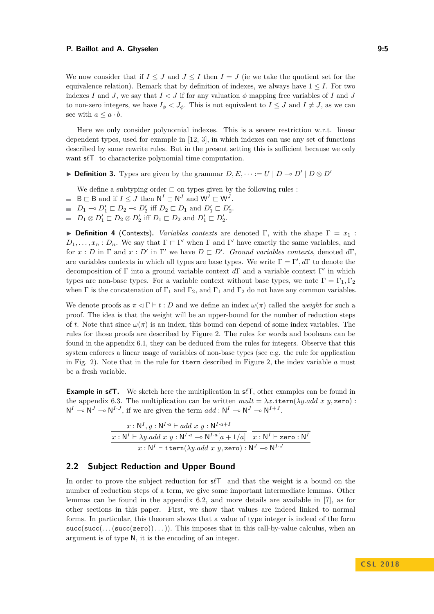We now consider that if  $I \leq J$  and  $J \leq I$  then  $I = J$  (ie we take the quotient set for the equivalence relation). Remark that by definition of indexes, we always have  $1 \leq I$ . For two indexes *I* and *J*, we say that  $I < J$  if for any valuation  $\phi$  mapping free variables of *I* and *J* to non-zero integers, we have  $I_{\phi} < J_{\phi}$ . This is not equivalent to  $I \leq J$  and  $I \neq J$ , as we can see with  $a \leq a \cdot b$ .

Here we only consider polynomial indexes. This is a severe restriction w.r.t. linear dependent types, used for example in [\[12,](#page-15-15) [3\]](#page-15-12), in which indexes can use any set of functions described by some rewrite rules. But in the present setting this is sufficient because we only want  $s$  $\ell$ <sup>T</sup> to characterize polynomial time computation.

▶ **Definition 3.** Types are given by the grammar  $D, E, \cdots := U \mid D \multimap D' \mid D \otimes D'$ 

We define a subtyping order  $\sqsubset$  on types given by the following rules :

- $B \sqsubset B$  and if  $I \leq J$  then  $N^I \sqsubset N^J$  and  $W^I \sqsubset W^J$ .
- $D_1 \multimap D'_1 \sqsubset D_2 \multimap D'_2$  iff  $D_2 \sqsubset D_1$  and  $D'_1 \sqsubset D'_2$ .
- $D_1 \otimes D_1' \sqsubset D_2 \otimes D_2'$  iff  $D_1 \sqsubset D_2$  and  $D_1' \sqsubset D_2'$ .

**Definition 4** (Contexts). *Variables contexts* are denoted Γ, with the shape  $\Gamma = x_1$ :  $D_1, \ldots, x_n : D_n$ . We say that  $\Gamma \subset \Gamma'$  when  $\Gamma$  and  $\Gamma'$  have exactly the same variables, and for  $x : D$  in  $\Gamma$  and  $x : D'$  in  $\Gamma'$  we have  $D \subset D'$ . *Ground variables contexts*, denoted *d* $\Gamma$ , are variables contexts in which all types are base types. We write  $\Gamma = \Gamma', d\Gamma$  to denote the decomposition of Γ into a ground variable context dΓ and a variable context Γ' in which types are non-base types. For a variable context without base types, we note  $\Gamma = \Gamma_1, \Gamma_2$ when  $\Gamma$  is the concatenation of  $\Gamma_1$  and  $\Gamma_2$ , and  $\Gamma_1$  and  $\Gamma_2$  do not have any common variables.

We denote proofs as  $\pi \leq \Gamma \vdash t : D$  and we define an index  $\omega(\pi)$  called the *weight* for such a proof. The idea is that the weight will be an upper-bound for the number of reduction steps of *t*. Note that since  $\omega(\pi)$  is an index, this bound can depend of some index variables. The rules for those proofs are described by Figure [2.](#page-5-0) The rules for words and booleans can be found in the appendix [6.1,](#page-16-5) they can be deduced from the rules for integers. Observe that this system enforces a linear usage of variables of non-base types (see e.g. the rule for application in Fig. [2\)](#page-5-0). Note that in the rule for itern described in Figure [2,](#page-5-0) the index variable *a* must be a fresh variable.

**Example in s** $\ell$ **T.** We sketch here the multiplication in  $\ell$ T, other examples can be found in the appendix [6.3.](#page-17-0) The multiplication can be written  $mult = \lambda x$ .itern( $\lambda y$ .add x y, zero) :  $N^I \to N^J \to N^{I \cdot J}$ , if we are given the term  $add : N^I \to N^J \to N^{I + J}$ .

$$
\frac{x:\mathsf{N}^I, y:\mathsf{N}^{I\cdot a}\vdash add\ x\ y:\mathsf{N}^{I\cdot a+I}}{x:\mathsf{N}^I\vdash \lambda y.add\ x\ y:\mathsf{N}^{I\cdot a}\multimap \mathsf{N}^{I\cdot a}[a+1/a]}\ \overline{x:\mathsf{N}^I\vdash \mathsf{zero}:\mathsf{N}^I}}{\ x:\mathsf{N}^I\vdash \mathsf{item}(\lambda y.add\ x\ y, \mathsf{zero}):\mathsf{N}^J\multimap \mathsf{N}^{I\cdot J}}
$$

## **2.2 Subject Reduction and Upper Bound**

In order to prove the subject reduction for  $\mathscr{A}\mathcal{T}$  and that the weight is a bound on the number of reduction steps of a term, we give some important intermediate lemmas. Other lemmas can be found in the appendix [6.2,](#page-16-6) and more details are available in [\[7\]](#page-15-16), as for other sections in this paper. First, we show that values are indeed linked to normal forms. In particular, this theorem shows that a value of type integer is indeed of the form succ(succ(...(succ(zero))...)). This imposes that in this call-by-value calculus, when an argument is of type N, it is the encoding of an integer.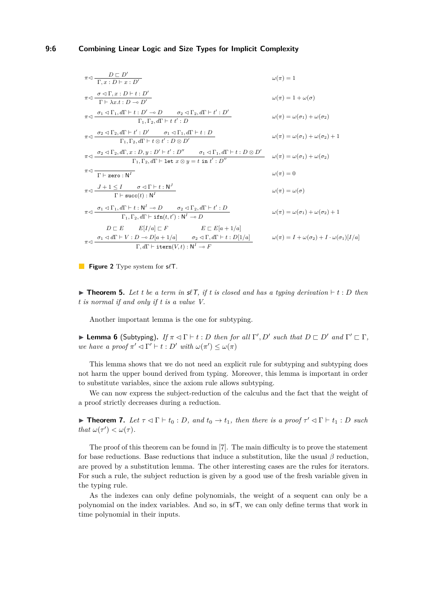#### **9:6 Combining Linear Logic and Size Types for Implicit Complexity**

<span id="page-5-0"></span>
$$
\pi \triangleleft \frac{D \square D'}{\Gamma, x : D \vdash x : D'}
$$
\n
$$
\pi \triangleleft \frac{\sigma \triangleleft \Gamma, x : D \vdash t : D'}{\Gamma \vdash \lambda x : t : D \multimap D'}
$$
\n
$$
\pi \triangleleft \frac{\sigma_1 \triangleleft \Gamma_1, d\Gamma \vdash t : D' \multimap D}{\Gamma_1, \Gamma_2, d\Gamma \vdash t : D' \multimap D} \qquad \omega(\pi) = 1 + \omega(\sigma)
$$
\n
$$
\pi \triangleleft \frac{\sigma_2 \triangleleft \Gamma_2, d\Gamma \vdash t' : D'}{\Gamma_1, \Gamma_2, d\Gamma \vdash t : D} \qquad \omega(\pi) = \omega(\sigma_1) + \omega(\sigma_2)
$$
\n
$$
\pi \triangleleft \frac{\sigma_2 \triangleleft \Gamma_2, d\Gamma \vdash t' : D'}{\Gamma_1, \Gamma_2, d\Gamma \vdash t \triangleleft t : D \otimes D'} \qquad \omega(\pi) = \omega(\sigma_1) + \omega(\sigma_2) + 1
$$
\n
$$
\pi \triangleleft \frac{\sigma_2 \triangleleft \Gamma_2, d\Gamma, x : D, y : D' \vdash t' : D''}{\Gamma_1, \Gamma_2, d\Gamma \vdash t \triangleleft t : D \otimes D'} \qquad \omega(\pi) = \omega(\sigma_1) + \omega(\sigma_2)
$$
\n
$$
\pi \triangleleft \frac{\sigma_2 \triangleleft \Gamma_2, d\Gamma, x : D, y : D' \vdash t' : D''}{\Gamma \vdash x : D, d\Gamma \vdash t \triangle t : D' \qquad \omega(\pi) = 0}
$$
\n
$$
\pi \triangleleft \frac{J + 1 \leq I \qquad \sigma \triangleleft \Gamma \vdash t : N^I \qquad \omega(\pi) = 0}{\Gamma_1, \Gamma_2, d\Gamma \vdash t : N^I \qquad \omega(\pi) = 0} \qquad \omega(\pi) = \omega(\sigma)
$$
\n
$$
\pi \triangleleft \frac{\sigma_1 \triangleleft \Gamma_1, d\Gamma \vdash t : N^I \neg D \qquad \sigma_2 \triangleleft \Gamma_2, d\Gamma \vdash t' : D}{\Gamma_1, \Gamma_2, d\Gamma \vdash t \text{if } \Gamma(t, t') : N^I \neg D} \qquad \omega(\pi) = \omega(\sigma_1) + \omega(\sigma_2) + 1
$$
\n<math display="block</math>

**Figure 2** Type system for  $s\ell T$ .

 $\triangleright$  **Theorem 5.** Let t be a term in  $\mathcal{I}(\mathcal{T})$ , if t is closed and has a typing derivation  $\vdash t : D$  then *t is normal if and only if t is a value V.*

Another important lemma is the one for subtyping.

**Example 6** (Subtyping). *If*  $\pi \lhd \Gamma$  + *t* : *D then for all*  $\Gamma', D'$  *such that*  $D \sqsubset D'$  *and*  $\Gamma' \sqsubset \Gamma$ *, we have a proof*  $\pi' \lhd \Gamma' \vdash t : D'$  *with*  $\omega(\pi') \leq \omega(\pi)$ 

This lemma shows that we do not need an explicit rule for subtyping and subtyping does not harm the upper bound derived from typing. Moreover, this lemma is important in order to substitute variables, since the axiom rule allows subtyping.

We can now express the subject-reduction of the calculus and the fact that the weight of a proof strictly decreases during a reduction.

**Find 7.** Let  $\tau \lhd \Gamma \vdash t_0 : D$ , and  $t_0 \rightarrow t_1$ , then there is a proof  $\tau' \lhd \Gamma \vdash t_1 : D$  such *that*  $\omega(\tau') < \omega(\tau)$ *.* 

The proof of this theorem can be found in [\[7\]](#page-15-16). The main difficulty is to prove the statement for base reductions. Base reductions that induce a substitution, like the usual *β* reduction, are proved by a substitution lemma. The other interesting cases are the rules for iterators. For such a rule, the subject reduction is given by a good use of the fresh variable given in the typing rule.

As the indexes can only define polynomials, the weight of a sequent can only be a polynomial on the index variables. And so, in s*`*T, we can only define terms that work in time polynomial in their inputs.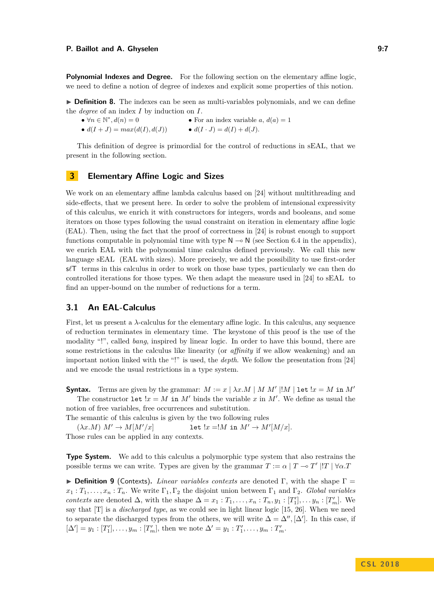**Polynomial Indexes and Degree.** For the following section on the elementary affine logic, we need to define a notion of degree of indexes and explicit some properties of this notion.

**Definition 8.** The indexes can be seen as multi-variables polynomials, and we can define the *degree* of an index *I* by induction on *I*.

 $\bullet$   $\forall n \in \mathbb{N}^*$ • For an index variable  $a, d(a) = 1$ •  $d(I + J) = max(d(I), d(J))$  •  $d(I \cdot J) = d(I) + d(J).$ 

This definition of degree is primordial for the control of reductions in sEAL, that we present in the following section.

## <span id="page-6-0"></span>**3 Elementary Affine Logic and Sizes**

We work on an elementary affine lambda calculus based on [\[24\]](#page-16-2) without multithreading and side-effects, that we present here. In order to solve the problem of intensional expressivity of this calculus, we enrich it with constructors for integers, words and booleans, and some iterators on those types following the usual constraint on iteration in elementary affine logic (EAL). Then, using the fact that the proof of correctness in [\[24\]](#page-16-2) is robust enough to support functions computable in polynomial time with type  $\mathsf{N} \to \mathsf{N}$  (see Section [6.4](#page-19-0) in the appendix). we enrich EAL with the polynomial time calculus defined previously. We call this new language sEAL (EAL with sizes). More precisely, we add the possibility to use first-order s $\ell$ <sup>T</sup> terms in this calculus in order to work on those base types, particularly we can then do controlled iterations for those types. We then adapt the measure used in [\[24\]](#page-16-2) to sEAL to find an upper-bound on the number of reductions for a term.

### **3.1 An EAL-Calculus**

First, let us present a *λ*-calculus for the elementary affine logic. In this calculus, any sequence of reduction terminates in elementary time. The keystone of this proof is the use of the modality "!", called *bang*, inspired by linear logic. In order to have this bound, there are some restrictions in the calculus like linearity (or *affinity* if we allow weakening) and an important notion linked with the "!" is used, the *depth*. We follow the presentation from [\[24\]](#page-16-2) and we encode the usual restrictions in a type system.

**Syntax.** Terms are given by the grammar:  $M := x \mid \lambda x.M \mid M M' \mid M \mid \text{let } !x = M \text{ in } M'$ 

The constructor let  $x = M$  in M' binds the variable x in M'. We define as usual the notion of free variables, free occurrences and substitution.

The semantic of this calculus is given by the two following rules

 $(\lambda x.M) M' \to M[M'/x]$  let  $!x = !M$  in  $M' \to M'[M/x]$ . Those rules can be applied in any contexts.

**Type System.** We add to this calculus a polymorphic type system that also restrains the possible terms we can write. Types are given by the grammar  $T := \alpha | T \to T' | T | \forall \alpha$ .T

**► Definition 9** (Contexts). *Linear variables contexts* are denoted Γ, with the shape Γ =  $x_1 : T_1, \ldots, x_n : T_n$ . We write  $\Gamma_1, \Gamma_2$  the disjoint union between  $\Gamma_1$  and  $\Gamma_2$ . *Global variables contexts* are denoted  $\Delta$ , with the shape  $\Delta = x_1 : T_1, \ldots, x_n : T_n, y_1 : [T'_1], \ldots, y_n : [T'_m]$ . We say that [T] is a *discharged type*, as we could see in light linear logic [\[15,](#page-15-3) [26\]](#page-16-7). When we need to separate the discharged types from the others, we will write  $\Delta = \Delta'', [\Delta']$ . In this case, if  $[\Delta'] = y_1 : [T'_1], \ldots, y_m : [T'_m],$  then we note  $\Delta' = y_1 : T'_1, \ldots, y_m : T'_m.$ 

**C S L 2 0 1 8**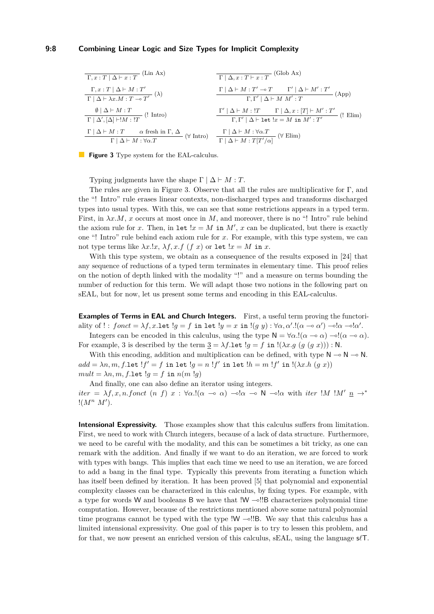#### **9:8 Combining Linear Logic and Size Types for Implicit Complexity**

<span id="page-7-0"></span>

| $\Gamma, x : T   \Delta \vdash x : T$  | (Lin Ax)                                      | $\Gamma   \Delta, x : T \vdash x : T$         | (Glob Ax)                      |                                |                                |                                |                                |                                |                                 |                                 |                                 |                                 |                                 |                                 |                                 |                                 |                                 |                                 |                                 |                                 |                                 |                                 |                                 |                                 |                                 |                                 |                                 |                                 |                                 |                                 |                                 |                                 |                            |
|----------------------------------------|-----------------------------------------------|-----------------------------------------------|--------------------------------|--------------------------------|--------------------------------|--------------------------------|--------------------------------|--------------------------------|---------------------------------|---------------------------------|---------------------------------|---------------------------------|---------------------------------|---------------------------------|---------------------------------|---------------------------------|---------------------------------|---------------------------------|---------------------------------|---------------------------------|---------------------------------|---------------------------------|---------------------------------|---------------------------------|---------------------------------|---------------------------------|---------------------------------|---------------------------------|---------------------------------|---------------------------------|---------------------------------|---------------------------------|----------------------------|
| $\Gamma, x : T   \Delta \vdash M : T'$ | $\Gamma   \Delta \vdash M : T' \rightarrow T$ | $\Gamma   \Delta \vdash M : T' \rightarrow T$ | $\Gamma   \Delta \vdash M : T$ | $\Gamma   \Delta \vdash M : T$ | $\Gamma   \Delta \vdash M : T$ | $\Gamma   \Delta \vdash M : T$ | $\Gamma   \Delta \vdash M : T$ | $\Gamma   \Delta \vdash M : T$ | $\Gamma   \Delta \vdash M : T'$ | $\Gamma   \Delta \vdash M : T'$ | $\Gamma   \Delta \vdash M : T'$ | $\Gamma   \Delta \vdash M : T'$ | $\Gamma   \Delta \vdash M : T'$ | $\Gamma   \Delta \vdash M : T'$ | $\Gamma   \Delta \vdash M : T'$ | $\Gamma   \Delta \vdash M : T'$ | $\Gamma   \Delta \vdash M : T'$ | $\Gamma   \Delta \vdash M : T'$ | $\Gamma   \Delta \vdash M : T'$ | $\Gamma   \Delta \vdash M : T'$ | $\Gamma   \Delta \vdash M : T'$ | $\Gamma   \Delta \vdash M : T'$ | $\Gamma   \Delta \vdash M : T'$ | $\Gamma   \Delta \vdash M : T'$ | $\Gamma   \Delta \vdash M : T'$ | $\Gamma   \Delta \vdash M : T'$ | $\Gamma   \Delta \vdash M : T'$ | $\Gamma   \Delta \vdash M : T'$ | $\Gamma   \Delta \vdash M : T'$ | $\Gamma   \Delta \vdash M : T'$ | $\Gamma   \Delta \vdash M : T'$ | $\Gamma   \Delta \vdash M : T'$ | $\Gamma   \Delta \vdash M$ |

**Figure 3** Type system for the EAL-calculus.

Typing judgments have the shape  $\Gamma \mid \Delta \vdash M : T$ .

The rules are given in Figure [3.](#page-7-0) Observe that all the rules are multiplicative for Γ, and the "! Intro" rule erases linear contexts, non-discharged types and transforms discharged types into usual types. With this, we can see that some restrictions appears in a typed term. First, in  $\lambda x.M$ , *x* occurs at most once in *M*, and moreover, there is no "! Intro" rule behind the axiom rule for *x*. Then, in let  $x = M$  in  $M'$ , *x* can be duplicated, but there is exactly one "! Intro" rule behind each axiom rule for *x*. For example, with this type system, we can not type terms like  $\lambda x.lx, \lambda f, x.f$  (*f x*) or let  $lx = M$  in *x*.

With this type system, we obtain as a consequence of the results exposed in [\[24\]](#page-16-2) that any sequence of reductions of a typed term terminates in elementary time. This proof relies on the notion of depth linked with the modality "!" and a measure on terms bounding the number of reduction for this term. We will adapt those two notions in the following part on sEAL, but for now, let us present some terms and encoding in this EAL-calculus.

**Examples of Terms in EAL and Church Integers.** First, a useful term proving the functoriality of !:  $fonct = \lambda f, x.\text{let } !g = f \text{ in } \text{let } !y = x \text{ in } !(g y) : \forall \alpha, \alpha'.!(\alpha \multimap \alpha') \multimap !\alpha \multimap !\alpha'.$ 

Integers can be encoded in this calculus, using the type  $N = \forall \alpha . ! (\alpha \rightarrow \alpha) \rightarrow ! (\alpha \rightarrow \alpha)$ . For example, 3 is described by the term  $3 = \lambda f \cdot \text{let}$   $!g = f \text{ in } !(\lambda x.g (g (g x)))$ : N.

With this encoding, addition and multiplication can be defined, with type  $N \to N \to N$ .  $add = \lambda n, m, f.$ let  $!f' = f$  in let  $!g = n \; !f'$  in let  $!h = m \; !f'$  in  $!(\lambda x.h \; (g \; x))$  $mult = \lambda n, m, f.$ let  $lg = f$  in  $n(m, lg)$ 

And finally, one can also define an iterator using integers. *iter* =  $\lambda f, x, n.$  *fonct* (*n f*)  $x : \forall \alpha . ! ( \alpha \rightarrow \alpha ) \rightarrow \alpha ! \alpha \rightarrow \mathbb{N} \rightarrow \alpha ! \alpha \text{ with } iter \cdot !M' \cdot n \rightarrow^*$  $!(M^n M').$ 

**Intensional Expressivity.** Those examples show that this calculus suffers from limitation. First, we need to work with Church integers, because of a lack of data structure. Furthermore, we need to be careful with the modality, and this can be sometimes a bit tricky, as one can remark with the addition. And finally if we want to do an iteration, we are forced to work with types with bangs. This implies that each time we need to use an iteration, we are forced to add a bang in the final type. Typically this prevents from iterating a function which has itself been defined by iteration. It has been proved [\[5\]](#page-15-17) that polynomial and exponential complexity classes can be characterized in this calculus, by fixing types. For example, with a type for words W and booleans B we have that  $!W \rightarrow !!B$  characterizes polynomial time computation. However, because of the restrictions mentioned above some natural polynomial time programs cannot be typed with the type  $!W -$ ! B. We say that this calculus has a limited intensional expressivity. One goal of this paper is to try to lessen this problem, and for that, we now present an enriched version of this calculus, sEAL, using the language s*`*T.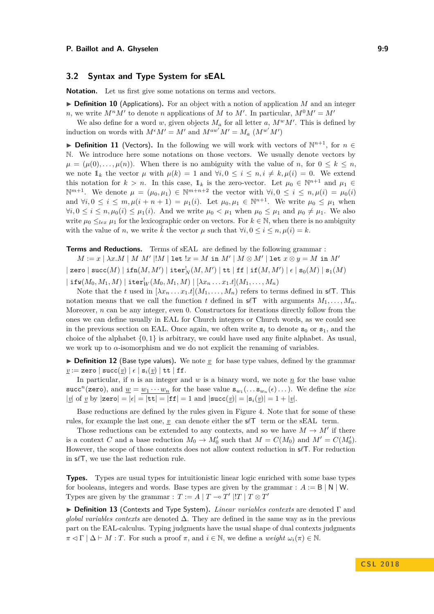## **3.2 Syntax and Type System for sEAL**

**Notation.** Let us first give some notations on terms and vectors.

 $\triangleright$  **Definition 10** (Applications). For an object with a notion of application *M* and an integer *n*, we write  $M^n M'$  to denote *n* applications of *M* to *M'*. In particular,  $M^0 M' = M'$ 

We also define for a word *w*, given objects  $M_a$  for all letter *a*,  $M^w M'$ . This is defined by induction on words with  $M^{\epsilon}M' = M'$  and  $M^{aw'}M' = M_a$   $(M^{w'}M')$ 

**▶ Definition 11** (Vectors). In the following we will work with vectors of  $\mathbb{N}^{n+1}$ , for  $n \in$ N. We introduce here some notations on those vectors. We usually denote vectors by  $\mu = (\mu(0), \ldots, \mu(n))$ . When there is no ambiguity with the value of *n*, for  $0 \leq k \leq n$ , we note  $1_k$  the vector  $\mu$  with  $\mu(k) = 1$  and  $\forall i, 0 \leq i \leq n, i \neq k, \mu(i) = 0$ . We extend this notation for  $k > n$ . In this case,  $1_k$  is the zero-vector. Let  $\mu_0 \in \mathbb{N}^{n+1}$  and  $\mu_1 \in$  $\mathbb{N}^{m+1}$ . We denote  $\mu = (\mu_0, \mu_1) \in \mathbb{N}^{m+n+2}$  the vector with  $\forall i, 0 \leq i \leq n, \mu(i) = \mu_0(i)$ and  $\forall i, 0 \leq i \leq m, \mu(i+n+1) = \mu_1(i)$ . Let  $\mu_0, \mu_1 \in \mathbb{N}^{n+1}$ . We write  $\mu_0 \leq \mu_1$  when  $∀i, 0 ≤ i ≤ n, \mu_0(i) ≤ \mu_1(i)$ . And we write  $\mu_0 < \mu_1$  when  $\mu_0 ≤ \mu_1$  and  $\mu_0 ≠ \mu_1$ . We also write  $\mu_0 \leq_{lex} \mu_1$  for the lexicographic order on vectors. For  $k \in \mathbb{N}$ , when there is no ambiguity with the value of *n*, we write  $\tilde{k}$  the vector  $\mu$  such that  $\forall i, 0 \leq i \leq n, \mu(i) = k$ .

**Terms and Reductions.** Terms of sEAL are defined by the following grammar:

 $M := x \mid \lambda x.M \mid M \ M' \mid !M \mid \texttt{let} \ !x = M \texttt{ in } M' \mid M \otimes M' \mid \texttt{let} \ x \otimes y = M \texttt{ in } M'$  $\mid$  zero  $\mid$  succ $(M) \mid$  ifn $(M,M') \mid$  iter $^!_N(M,M') \mid$  tt  $\mid$  ff  $\mid$  if $(M,M') \mid$   $\epsilon \mid$   $\mathbf{s}_0(M) \mid$   $\mathbf{s}_1(M)$ 

 $|\operatorname{\textbf{if}} w(M_0,M_1,M)|\operatorname{\textbf{iter}}_W^!(M_0,M_1,M)|\left[\lambda x_n\ldots x_1.t\right](M_1,\ldots,M_n)$ 

Note that the *t* used in  $[\lambda x_n \dots x_1.t](M_1, \dots, M_n)$  refers to terms defined in  $s\ell\mathsf{T}$ . This notation means that we call the function *t* defined in  $s\ell\mathsf{T}$  with arguments  $M_1, \ldots, M_n$ . Moreover, *n* can be any integer, even 0. Constructors for iterations directly follow from the ones we can define usually in EAL for Church integers or Church words, as we could see in the previous section on EAL. Once again, we often write  $s_i$  to denote  $s_0$  or  $s_1$ , and the choice of the alphabet {0*,* 1} is arbitrary, we could have used any finite alphabet. As usual, we work up to  $\alpha$ -isomorphism and we do not explicit the renaming of variables.

 $\triangleright$  **Definition 12** (Base type values). We note *v* for base type values, defined by the grammar  $v := \texttt{zero} \mid \texttt{succ}(v) \mid \epsilon \mid s_i(v) \mid \texttt{tt} \mid \texttt{ff}.$ 

In particular, if  $n$  is an integer and  $w$  is a binary word, we note  $n$  for the base value succ<sup>n</sup>(zero), and  $\underline{w} = \underline{w_1 \cdots w_n}$  for the base value  $\mathbf{s}_{w_1}(\ldots \mathbf{s}_{w_n}(\epsilon) \ldots)$ . We define the *size*  $|\underline{v}|$  of <u>v</u> by  $|\mathsf{zero}| = |\epsilon| = |\mathsf{tt}| = |\mathsf{ff}| = 1$  and  $|\mathsf{succ}(\underline{v})| = |\mathsf{s}_i(\underline{v})| = 1 + |\underline{v}|$ .

Base reductions are defined by the rules given in Figure [4.](#page-9-0) Note that for some of these rules, for example the last one,  $\mathbf{v}$  can denote either the  $\mathbf{s}\ell\mathsf{T}$  term or the sEAL term.

Those reductions can be extended to any contexts, and so we have  $M \to M'$  if there is a context *C* and a base reduction  $M_0 \to M'_0$  such that  $M = C(M_0)$  and  $M' = C(M'_0)$ . However, the scope of those contexts does not allow context reduction in  $\mathcal{I}$ . For reduction in  $s\ell\mathsf{T}$ , we use the last reduction rule.

**Types.** Types are usual types for intuitionistic linear logic enriched with some base types for booleans, integers and words. Base types are given by the grammar :  $A := B \mid N \mid W$ . Types are given by the grammar :  $T := A | T \rightarrow T' | T T \otimes T'$ 

**► Definition 13** (Contexts and Type System). *Linear variables contexts* are denoted Γ and *global variables contexts* are denoted ∆. They are defined in the same way as in the previous part on the EAL-calculus. Typing judgments have the usual shape of dual contexts judgments  $\pi \triangleleft \Gamma \mid \Delta \vdash M : T$ . For such a proof  $\pi$ , and  $i \in \mathbb{N}$ , we define a *weight*  $\omega_i(\pi) \in \mathbb{N}$ .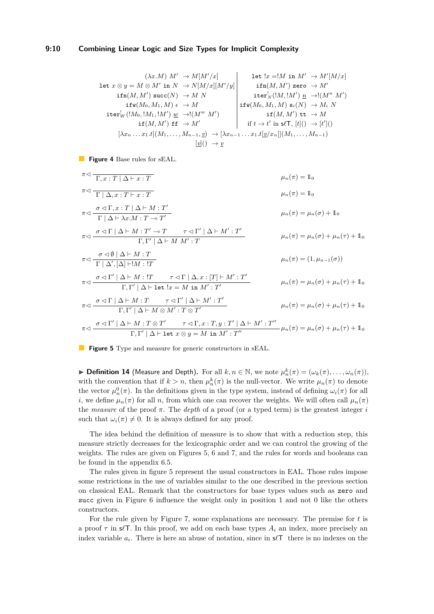#### **9:10 Combining Linear Logic and Size Types for Implicit Complexity**

<span id="page-9-0"></span>
$$
\begin{array}{c|c|c} & (\lambda x.M) \; M' \; \rightarrow M [M'/x] & \text{let } !x = !M \; \text{in} \; M' \; \rightarrow M'[M/x] \\ \text{let } x \otimes y = M \otimes M' \; \text{in} \; N \; \rightarrow N [M/x][M'/y] & \text{ifn}(M,M') \; \text{zero } \; \rightarrow M' \\ & \text{ifn}(M,M') \; \text{succ}(N) \; \rightarrow M \; N & \text{iter}_{N}^l ([M,lM']) \; \underline{n} \; \rightarrow ! (M^n \; M') \\ & \text{ifw}(M_0,M_1,M) \; \epsilon \; \rightarrow M & \text{ifw}(M_0,M_1,M) \; \text{s}_i(N) \; \rightarrow M_i \; N \\ & \text{ifw}(M_0,M_1,M') \; \underline{m} \; \rightarrow ! (M'' \; M') \\ & \text{if(M,M') \; \text{if} \; \rightarrow M' & \text{if(M,M') \; \text{it} \; \rightarrow M} \\ & \text{if(M,M') \; \text{if} \; \rightarrow M & \text{if(M,M') \; \text{it} \; \rightarrow M} \\ & \text{if(M,M') \; \text{if} \; \rightarrow M} & \text{if(M,M') \; \text{if} \; \rightarrow M \\ & \text{if(M,M') \; \text{if} \; \rightarrow M} & \text{if(M,M') \; \text{if} \; \rightarrow M} \\ & \text{if(M,M') \; \text{if} \; \rightarrow M' & \text{if(M,M') \; \text{if} \; \rightarrow M} \\ & \text{if(M,M') \; \text{if} \; \rightarrow M' & \text{if(M,M') \; \text{if} \; \rightarrow M} \\ & \text{if(M,M') \; \text{if} \; \rightarrow M' & \text{if(M,M') \; \text{if} \; \rightarrow M} \\ & \text{if(M,M') \; \text{if} \; \rightarrow M' & \text{if(M,M') \; \text{if} \; \rightarrow M} \\ & \text{if(M,M') \; \text{if} \; \rightarrow M' & \text{if(M,M') \; \text{if} \; \rightarrow M} \\ & \text{if(M,M') \; \text{if} \; \rightarrow M' & \text{if(M,M') \; \text{if} \; \rightarrow M} \\ & \text{if(M,M') \; \text{if} \; \rightarrow M' & \text{if(M,M') \; \text{if} \; \rightarrow M} \\ & \text{if(M,M')
$$

**Figure 4** Base rules for sEAL.

<span id="page-9-1"></span>
$$
\pi \triangleleft \frac{\Gamma, x: T | \Delta \vdash x: T}
$$
\n
$$
\pi \triangleleft \frac{\sigma \triangleleft \Gamma, \Delta \vdash M: T'}{\Gamma | \Delta \vdash \lambda x. M: T \multimap T'}
$$
\n
$$
\pi \triangleleft \frac{\sigma \triangleleft \Gamma, \Delta \vdash M: T'}{\Gamma | \Delta \vdash \lambda x. M: T \multimap T'}
$$
\n
$$
\pi \triangleleft \frac{\sigma \triangleleft \Gamma | \Delta \vdash M: T' \multimap T \quad \tau \triangleleft \Gamma' | \Delta \vdash M': T'}{\Gamma, \Gamma' | \Delta \vdash M: T' \multimap T \quad \tau \triangleleft \Gamma' | \Delta \vdash M': T}
$$
\n
$$
\pi \triangleleft \frac{\sigma \triangleleft \Gamma | \Delta \vdash M: T}{\Gamma | \Delta', [\Delta] \vdash !M: !T}
$$
\n
$$
\pi \triangleleft \frac{\sigma \triangleleft \Gamma' | \Delta \vdash M: T}{\Gamma | \Delta', [\Delta] \vdash !M: !T}
$$
\n
$$
\pi \triangleleft \frac{\sigma \triangleleft \Gamma' | \Delta \vdash M: T \quad \tau \triangleleft \Gamma | \Delta, x: [T] \vdash M': T'}{\Gamma, \Gamma' | \Delta \vdash \text{let } !x = M \text{ in } M': T'} \quad \mu_n(\pi) = \mu_n(\sigma) + \mu_n(\tau) + \mathbb{1}_0
$$
\n
$$
\pi \triangleleft \frac{\sigma \triangleleft \Gamma' | \Delta \vdash M: T \quad \tau \triangleleft \Gamma | \Delta \vdash M': T'}{\Gamma, \Gamma' | \Delta \vdash M \otimes M': T \otimes T'} \quad \mu_n(\pi) = \mu_n(\sigma) + \mu_n(\tau) + \mathbb{1}_0
$$
\n
$$
\pi \triangleleft \frac{\sigma \triangleleft \Gamma | \Delta \vdash M: T \quad \tau \triangleleft \Gamma' | \Delta \vdash M': T'}{\Gamma, \Gamma' | \Delta \vdash M \otimes M': T \otimes T'} \quad \mu_n(\pi) = \mu_n(\sigma) + \mu_n(\tau) + \mathbb{1}_0
$$
\n
$$
\pi \triangleleft \frac{\sigma \triangleleft \Gamma' | \Delta \vdash M: T \quad \tau \triangleleft \Gamma, x: T, y: T' | \Delta \vdash M': T''}{\Gamma, \Gamma' | \Delta \vdash \text{let } x \otimes y = M \text{ in } M': T''} \quad \mu_n(\pi) =
$$

**Figure 5** Type and measure for generic constructors in sEAL.

► **Definition 14** (Measure and Depth). For all  $k, n \in \mathbb{N}$ , we note  $\mu_n^k(\pi) = (\omega_k(\pi), \ldots, \omega_n(\pi)),$ with the convention that if  $k > n$ , then  $\mu_n^k(\pi)$  is the null-vector. We write  $\mu_n(\pi)$  to denote the vector  $\mu_n^0(\pi)$ . In the definitions given in the type system, instead of defining  $\omega_i(\pi)$  for all *i*, we define  $\mu_n(\pi)$  for all *n*, from which one can recover the weights. We will often call  $\mu_n(\pi)$ the *measure* of the proof *π*. The *depth* of a proof (or a typed term) is the greatest integer *i* such that  $\omega_i(\pi) \neq 0$ . It is always defined for any proof.

The idea behind the definition of measure is to show that with a reduction step, this measure strictly decreases for the lexicographic order and we can control the growing of the weights. The rules are given on Figures [5,](#page-9-1) [6](#page-10-0) and [7,](#page-10-1) and the rules for words and booleans can be found in the appendix [6.5.](#page-19-1)

The rules given in figure [5](#page-9-1) represent the usual constructors in EAL. Those rules impose some restrictions in the use of variables similar to the one described in the previous section on classical EAL. Remark that the constructors for base types values such as zero and succ given in Figure [6](#page-10-0) influence the weight only in position 1 and not 0 like the others constructors.

For the rule given by Figure [7,](#page-10-1) some explanations are necessary. The premise for *t* is a proof  $\tau$  in s $\ell$ T. In this proof, we add on each base types  $A_i$  an index, more precisely an index variable  $a_i$ . There is here an abuse of notation, since in  $s\ell\mathsf{T}$  there is no indexes on the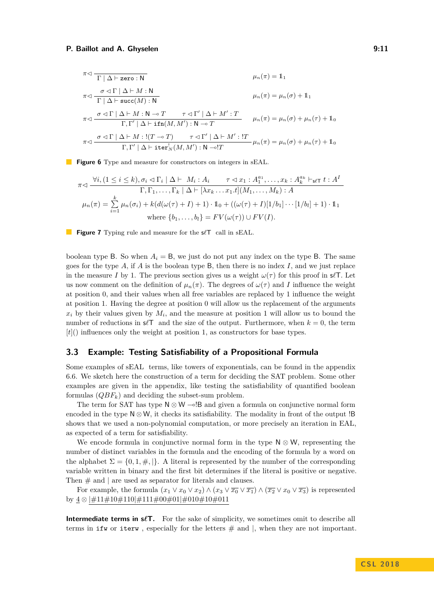#### **P. Baillot and A. Ghyselen 6:20 and 7:30 and 7:30 and 7:30 and 7:30 and 7:30 and 7:30 and 7:30 and 7:30 and 7:30 and 7:30 and 7:30 and 7:30 and 7:30 and 7:30 and 7:30 and 7:30 and 7:30 and 7:30 and 7:30 and 7:30 and 7:30**

<span id="page-10-0"></span>
$$
\pi \lhd \frac{\sigma \lhd \Gamma \mid \Delta \vdash \text{zero}: \mathbf{N}}{\Gamma \mid \Delta \vdash \text{succ}(M): \mathbf{N}}
$$
\n
$$
\pi \lhd \frac{\sigma \lhd \Gamma \mid \Delta \vdash M: \mathbf{N}}{\Gamma \mid \Delta \vdash \text{succ}(M): \mathbf{N}}
$$
\n
$$
\pi \lhd \frac{\sigma \lhd \Gamma \mid \Delta \vdash M: \mathbf{N} \rhd T \quad \tau \lhd \Gamma' \mid \Delta \vdash M': T}{\Gamma, \Gamma' \mid \Delta \vdash \text{ifn}(M, M'): \mathbf{N} \rhd T} \qquad \mu_n(\pi) = \mu_n(\sigma) + \mu_n(\tau) + \mathbf{1}_0
$$
\n
$$
\pi \lhd \frac{\sigma \lhd \Gamma \mid \Delta \vdash M: !(T \rhd T) \quad \tau \lhd \Gamma' \mid \Delta \vdash M': !T}{\Gamma, \Gamma' \mid \Delta \vdash \text{iter}_N^{\dagger}(M, M'): \mathbf{N} \rhd !T} \mu_n(\pi) = \mu_n(\sigma) + \mu_n(\tau) + \mathbf{1}_0
$$

<span id="page-10-1"></span>**Figure 6** Type and measure for constructors on integers in sEAL.

$$
\pi \triangleleft \frac{\forall i, (1 \le i \le k), \sigma_i \triangleleft \Gamma_i \mid \Delta \vdash M_i : A_i \qquad \tau \triangleleft x_1 : A_1^{a_1}, \dots, x_k : A_k^{a_k} \vdash_{\mathsf{s}\in \mathsf{T}} t : A^I \qquad \Gamma, \Gamma_1, \dots, \Gamma_k \mid \Delta \vdash [\lambda x_k \dots x_1.t](M_1, \dots, M_k) : A}{\Gamma, \Gamma_1, \dots, \Gamma_k \mid \Delta \vdash [\lambda x_k \dots x_1.t](M_1, \dots, M_k) : A}
$$
\n
$$
\mu_n(\pi) = \sum_{i=1}^k \mu_n(\sigma_i) + k(d(\omega(\tau) + I) + 1) \cdot \mathbb{1}_0 + ((\omega(\tau) + I)[1/b_1] \cdots [1/b_l] + 1) \cdot \mathbb{1}_1
$$
\n
$$
\text{where } \{b_1, \dots, b_l\} = FV(\omega(\tau)) \cup FV(I).
$$

**Figure 7** Typing rule and measure for the  $s\ell\mathsf{T}$  call in sEAL.

boolean type B. So when  $A_i = B$ , we just do not put any index on the type B. The same goes for the type *A*, if *A* is the boolean type B, then there is no index *I*, and we just replace in the measure *I* by 1. The previous section gives us a weight  $\omega(\tau)$  for this proof in s $\ell$ T. Let us now comment on the definition of  $\mu_n(\pi)$ . The degrees of  $\omega(\tau)$  and *I* influence the weight at position 0, and their values when all free variables are replaced by 1 influence the weight at position 1. Having the degree at position 0 will allow us the replacement of the arguments  $x_i$  by their values given by  $M_i$ , and the measure at position 1 will allow us to bound the number of reductions in  $s\ell\mathsf{T}$  and the size of the output. Furthermore, when  $k = 0$ , the term [*t*]() influences only the weight at position 1, as constructors for base types.

## **3.3 Example: Testing Satisfiability of a Propositional Formula**

Some examples of sEAL terms, like towers of exponentials, can be found in the appendix [6.6.](#page-20-1) We sketch here the construction of a term for deciding the SAT problem. Some other examples are given in the appendix, like testing the satisfiability of quantified boolean formulas (*QBFk*) and deciding the subset-sum problem.

The term for SAT has type  $N \otimes W \sim B$  and given a formula on conjunctive normal form encoded in the type  $N \otimes W$ , it checks its satisfiability. The modality in front of the output !B shows that we used a non-polynomial computation, or more precisely an iteration in EAL, as expected of a term for satisfiability.

We encode formula in conjunctive normal form in the type  $N \otimes W$ , representing the number of distinct variables in the formula and the encoding of the formula by a word on the alphabet  $\Sigma = \{0, 1, \#, \}$ . A literal is represented by the number of the corresponding variable written in binary and the first bit determines if the literal is positive or negative. Then  $\#$  and  $\|$  are used as separator for literals and clauses.

For example, the formula  $(x_1 \vee x_0 \vee x_2) \wedge (x_3 \vee \overline{x_0} \vee \overline{x_1}) \wedge (\overline{x_2} \vee x_0 \vee \overline{x_3})$  is represented by 4 ⊗ |#11#10#110|#111#00#01|#010#10#011

**Intermediate terms in s** $\ell$ **T.** For the sake of simplicity, we sometimes omit to describe all terms in ifw or iterw, especially for the letters  $#$  and  $|$ , when they are not important.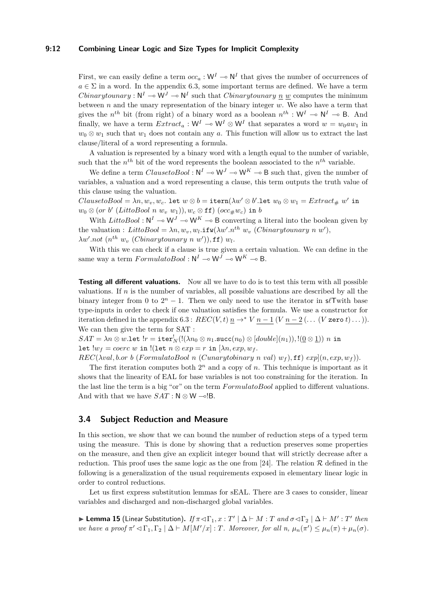#### **9:12 Combining Linear Logic and Size Types for Implicit Complexity**

First, we can easily define a term  $occ_a : W^I \to N^I$  that gives the number of occurrences of  $a \in \Sigma$  in a word. In the appendix [6.3,](#page-17-0) some important terms are defined. We have a term *Cbinarytounary* :  $N^I \to N^J \to N^I$  such that *Cbinarytounary* <u>n</u> *w* computes the minimum between *n* and the unary representation of the binary integer *w*. We also have a term that gives the  $n^{th}$  bit (from right) of a binary word as a boolean  $n^{th}$ : W<sup>I</sup>  $\rightarrow$  N<sup>I</sup>  $\rightarrow$  B. And finally, we have a term  $Extract_a: W^I \to W^I \otimes W^I$  that separates a word  $w = w_0 a w_1$  in  $w_0 \otimes w_1$  such that  $w_1$  does not contain any *a*. This function will allow us to extract the last clause/literal of a word representing a formula.

A valuation is represented by a binary word with a length equal to the number of variable, such that the  $n^{th}$  bit of the word represents the boolean associated to the  $n^{th}$  variable.

We define a term  $Clause toBool : \mathbb{N}^I \to \mathbb{W}^J \to \mathbb{W}^K \to \mathbb{B}$  such that, given the number of variables, a valuation and a word representing a clause, this term outputs the truth value of this clause using the valuation.

 $Clause to Bool = \lambda n, w_v, w_c$ . let  $w \otimes b = \text{itern}(\lambda w' \otimes b'.$ let  $w_0 \otimes w_1 = Extract_{\#} w'$  in  $w_0 \otimes$  (*or b'* (*LittoBool n w<sub>v</sub> w*<sub>1</sub>)),  $w_c \otimes$  ff) (*occ*# $w_c$ ) in *b* 

With *LittoBool* :  $N^I \to W^J \to W^K \to B$  converting a literal into the boolean given by the valuation : *LittoBool* =  $\lambda n, w_v, w_l$ .**ifw**( $\lambda w'.n^{th}$  *w<sub>v</sub>* (*Cbinarytounary n w'*),  $\lambda w'.not \ (n^{th} \ w_v \ (Cbinary to unary \ n \ w'))$ , ff)  $w_l$ .

With this we can check if a clause is true given a certain valuation. We can define in the same way a term  $Formula toBool : \mathbb{N}^I \to \mathbb{W}^J \to \mathbb{W}^K \to \mathsf{B}.$ 

**Testing all different valuations.** Now all we have to do is to test this term with all possible valuations. If *n* is the number of variables, all possible valuations are described by all the binary integer from 0 to  $2^n - 1$ . Then we only need to use the iterator in s $\ell$ Twith base type-inputs in order to check if one valuation satisfies the formula. We use a constructor for iteration defined in the appendix [6.3](#page-17-0) :  $REC(V, t)$   $n \rightarrow^* V$   $n-1$  ( $V$   $n-2$  ( $\dots$  ( $V$  zero  $t)$  $\dots$ )). We can then give the term for SAT :

 $SAT = \lambda n \otimes w.\mathtt{let}~!r = \mathtt{iter}_N^!(!(\lambda n_0 \otimes n_1.\mathtt{succ}(n_0) \otimes [double](n_1)), !(\underline{0} \otimes \underline{1}))~n$  in let  $lw_f = \text{coerc } w$  in  $!(\text{let } n \otimes \exp) = r$  in  $[\lambda n, \exp, w_f]$ .

*REC*(*λval, b.or b* (*F ormulatoBool n* (*Cunarytobinary n val*) *w<sup>f</sup>* )*,* ff) *exp*](*n, exp, w<sup>f</sup>* )).

The first iteration computes both  $2^n$  and a copy of  $n$ . This technique is important as it shows that the linearity of EAL for base variables is not too constraining for the iteration. In the last line the term is a big "or" on the term *F ormulatoBool* applied to different valuations. And with that we have  $SAT : N \otimes W \sim B$ .

#### **3.4 Subject Reduction and Measure**

In this section, we show that we can bound the number of reduction steps of a typed term using the measure. This is done by showing that a reduction preserves some properties on the measure, and then give an explicit integer bound that will strictly decrease after a reduction. This proof uses the same logic as the one from [\[24\]](#page-16-2). The relation  $\mathcal R$  defined in the following is a generalization of the usual requirements exposed in elementary linear logic in order to control reductions.

Let us first express substitution lemmas for sEAL. There are 3 cases to consider, linear variables and discharged and non-discharged global variables.

 $\blacktriangleright$  **Lemma 15** (Linear Substitution). *If*<sub>π</sub> ⊲Γ<sub>1</sub>, x : T' | Δ  $\vdash$  *M* : T and σ  $\lhd$  Γ<sub>2</sub> | Δ  $\vdash$  *M'* : T' then *we have a proof*  $\pi' \lhd \Gamma_1, \Gamma_2 \mid \Delta \vdash M[M'/x] : T$ *. Moreover, for all n,*  $\mu_n(\pi') \leq \mu_n(\pi) + \mu_n(\sigma)$ *.*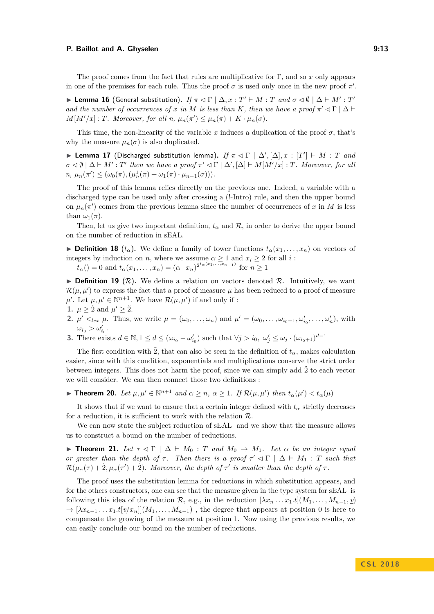#### **P. Baillot and A. Ghyselen 9:13 P. Baillot and A. Ghyselen**

The proof comes from the fact that rules are multiplicative for Γ, and so *x* only appears in one of the premises for each rule. Thus the proof  $\sigma$  is used only once in the new proof  $\pi'$ .

**Example 16** (General substitution). *If*  $\pi \lhd \Gamma \mid \Delta, x : T' \vdash M : T$  and  $\sigma \lhd \emptyset \mid \Delta \vdash M' : T'$ *and the number of occurrences of x in M is less than K*, *then we have a proof*  $\pi' \lhd \Gamma \mid \Delta$   $\vdash$  $M[M'/x]$ : *T. Moreover, for all n,*  $\mu_n(\pi') \leq \mu_n(\pi) + K \cdot \mu_n(\sigma)$ .

This time, the non-linearity of the variable *x* induces a duplication of the proof  $\sigma$ , that's why the measure  $\mu_n(\sigma)$  is also duplicated.

**Example 17** (Discharged substitution lemma). *If*  $\pi \triangleleft \Gamma \mid \Delta', [\Delta], x : [T'] \vdash M : T$  *and*  $\sigma \lhd \emptyset$  |  $\Delta \vdash M'$ : *T'* then we have a proof  $\pi' \lhd \Gamma$  |  $\Delta', [\Delta] \vdash M[M'/x]$ : *T.* Moreover, for all  $n, \mu_n(\pi') \leq (\omega_0(\pi), (\mu_n^1(\pi) + \omega_1(\pi) \cdot \mu_{n-1}(\sigma))).$ 

The proof of this lemma relies directly on the previous one. Indeed, a variable with a discharged type can be used only after crossing a (!-Intro) rule, and then the upper bound on  $\mu_n(\pi')$  comes from the previous lemma since the number of occurrences of *x* in *M* is less than  $\omega_1(\pi)$ .

Then, let us give two important definition,  $t_{\alpha}$  and  $\mathcal{R}$ , in order to derive the upper bound on the number of reduction in sEAL.

► **Definition 18**  $(t_\alpha)$ . We define a family of tower functions  $t_\alpha(x_1, \ldots, x_n)$  on vectors of integers by induction on *n*, where we assume  $\alpha \geq 1$  and  $x_i \geq 2$  for all *i*:

 $t_{\alpha}$ () = 0 and  $t_{\alpha}(x_1, ..., x_n) = (\alpha \cdot x_n)^{2^{t_{\alpha}(x_1, ..., x_{n-1})}}$  for  $n \ge 1$ 

**Definition 19** ( $\mathcal{R}$ ). We define a relation on vectors denoted  $\mathcal{R}$ . Intuitively, we want  $\mathcal{R}(\mu, \mu')$  to express the fact that a proof of measure  $\mu$  has been reduced to a proof of measure  $\mu'$ . Let  $\mu, \mu' \in \mathbb{N}^{n+1}$ . We have  $\mathcal{R}(\mu, \mu')$  if and only if :

- 1.  $\mu \geq \tilde{2}$  and  $\mu' \geq \tilde{2}$ .
- 2.  $\mu' <_{lex} \mu$ . Thus, we write  $\mu = (\omega_0, \ldots, \omega_n)$  and  $\mu' = (\omega_0, \ldots, \omega_{i_0-1}, \omega'_{i_0}, \ldots, \omega'_n)$ , with  $\omega_{i_0} > \omega'_{i_0}$ .
- **3.** There exists  $d \in \mathbb{N}, 1 \leq d \leq (\omega_{i_0} \omega'_{i_0})$  such that  $\forall j > i_0, \ \omega'_j \leq \omega_j \cdot (\omega_{i_0+1})^{d-1}$

The first condition with  $\tilde{2}$ , that can also be seen in the definition of  $t_{\alpha}$ , makes calculation easier, since with this condition, exponentials and multiplications conserve the strict order between integers. This does not harm the proof, since we can simply add  $\tilde{2}$  to each vector we will consider. We can then connect those two definitions :

► **Theorem 20.** Let  $\mu, \mu' \in \mathbb{N}^{n+1}$  and  $\alpha \geq n, \alpha \geq 1$ . If  $\mathcal{R}(\mu, \mu')$  then  $t_{\alpha}(\mu') < t_{\alpha}(\mu)$ 

It shows that if we want to ensure that a certain integer defined with  $t_{\alpha}$  strictly decreases for a reduction, it is sufficient to work with the relation  $\mathcal{R}$ .

We can now state the subject reduction of sEAL and we show that the measure allows us to construct a bound on the number of reductions.

<span id="page-12-0"></span> $\triangleright$  **Theorem 21.** *Let*  $\tau \triangleleft \Gamma \ \vert \ \Delta \vdash M_0$  : *T and*  $M_0 → M_1$ *. Let*  $\alpha$  *be an integer equal or greater than the depth of*  $\tau$ . Then there is a proof  $\tau' \lhd \Gamma \mid \Delta \vdash M_1 : T$  such that  $\mathcal{R}(\mu_\alpha(\tau) + \tilde{2}, \mu_\alpha(\tau') + \tilde{2})$ . Moreover, the depth of  $\tau'$  is smaller than the depth of  $\tau$ .

The proof uses the substitution lemma for reductions in which substitution appears, and for the others constructors, one can see that the measure given in the type system for sEAL is following this idea of the relation  $\mathcal{R}$ , e.g., in the reduction  $[\lambda x_n \dots x_1.t](M_1, \dots, M_{n-1}, v)$  $\rightarrow [\lambda x_{n-1} \dots x_1.t[v/x_n]](M_1, \dots, M_{n-1})$ , the degree that appears at position 0 is here to compensate the growing of the measure at position 1. Now using the previous results, we can easily conclude our bound on the number of reductions.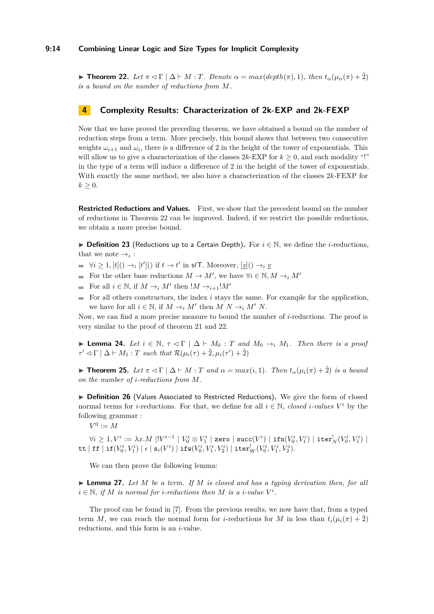<span id="page-13-0"></span> $\blacktriangleright$  **Theorem 22.** *Let*  $\pi \lhd \Gamma \mid \Delta \vdash M : T$ *. Denote*  $\alpha = max(depth(\pi), 1)$ *, then*  $t_{\alpha}(\mu_{\alpha}(\pi) + \tilde{2})$ *is a bound on the number of reductions from M.*

## **4 Complexity Results: Characterization of 2k-EXP and 2k-FEXP**

Now that we have proved the preceding theorem, we have obtained a bound on the number of reduction steps from a term. More precisely, this bound shows that between two consecutive weights  $\omega_{i+1}$  and  $\omega_i$ , there is a difference of 2 in the height of the tower of exponentials. This will allow us to give a characterization of the classes  $2k$ -EXP for  $k > 0$ , and each modality "!" in the type of a term will induce a difference of 2 in the height of the tower of exponentials. With exactly the same method, we also have a characterization of the classes 2*k*-FEXP for  $k \geq 0$ .

**Restricted Reductions and Values.** First, we show that the precedent bound on the number of reductions in Theorem [22](#page-13-0) can be improved. Indeed, if we restrict the possible reductions, we obtain a more precise bound.

I **Definition 23** (Reductions up to a Certain Depth)**.** For *i* ∈ N, we define the *i*-reductions, that we note  $\rightarrow_i$ :

- $\forall i \geq 1, [t]() \rightarrow_i [t']()$  if  $t \rightarrow t'$  in s $\ell \mathsf{T}$ . Moreover,  $[\underline{v}](\cdot) \rightarrow_i \underline{v}$
- For the other base reductions  $M \to M'$ , we have  $\forall i \in \mathbb{N}, M \to_i M'$
- For all  $i \in \mathbb{N}$ , if  $M \rightarrow_i M'$  then  $!M \rightarrow_{i+1}!M'$ m.
- For all others constructors, the index *i* stays the same. For example for the application,  $\equiv$ we have for all  $i \in \mathbb{N}$ , if  $M \to_i M'$  then  $M N \to_i M' N$ .

Now, we can find a more precise measure to bound the number of *i*-reductions. The proof is very similar to the proof of theorem [21](#page-12-0) and [22.](#page-13-0)

► **Lemma 24.** *Let*  $i \in \mathbb{N}$ ,  $\tau \lhd \Gamma \rhd \Delta \vdash M_0$  : *T* and  $M_0 \rightarrow_i M_1$ . Then there is a proof  $\tau' \lhd \Gamma \mid \Delta \vdash M_1 : T \text{ such that } \mathcal{R}(\mu_i(\tau) + \tilde{2}, \mu_i(\tau') + \tilde{2})$ 

<span id="page-13-2"></span>**► Theorem 25.** Let  $\pi \lhd \Gamma \mid \Delta \vdash M : T$  and  $\alpha = max(i, 1)$ . Then  $t_{\alpha}(\mu_i(\pi) + \tilde{2})$  is a bound *on the number of i-reductions from M.*

▶ Definition 26 (Values Associated to Restricted Reductions). We give the form of closed normal terms for *i*-reductions. For that, we define for all  $i \in \mathbb{N}$ , *closed i*-values  $V^i$  by the following grammar :

 $V^0 := M$ 

 $\forall i\geq 1, V^i:=\lambda x. M\;||V^{i-1}\mid V^i_0\otimes V^i_1\mid$ zero  $|$  succ $(V^i) \mid$  ifn $(V^i_0,V^i_1)\mid$  iter ${}^!_N(V^i_0,V^i_1)\mid$  $\mathtt{tt} \mid \mathtt{ff} \mid \mathtt{if}(V^i_0, V^i_1) \mid \epsilon \mid \mathtt{s}_i(V^i) \mid \mathtt{ifw}(V^i_0, V^i_1, V^i_2) \mid \mathtt{iter}^!_W(V^i_0, V^i_1, V^i_2).$ 

We can then prove the following lemma:

<span id="page-13-1"></span> $\triangleright$  **Lemma 27.** Let M be a term. If M is closed and has a typing derivation then, for all  $i \in \mathbb{N}$ , if *M* is normal for *i*-reductions then *M* is a *i*-value  $V^i$ .

The proof can be found in [\[7\]](#page-15-16). From the previous results, we now have that, from a typed term *M*, we can reach the normal form for *i*-reductions for *M* in less than  $t_i(\mu_i(\pi) + \tilde{2})$ reductions, and this form is an *i*-value.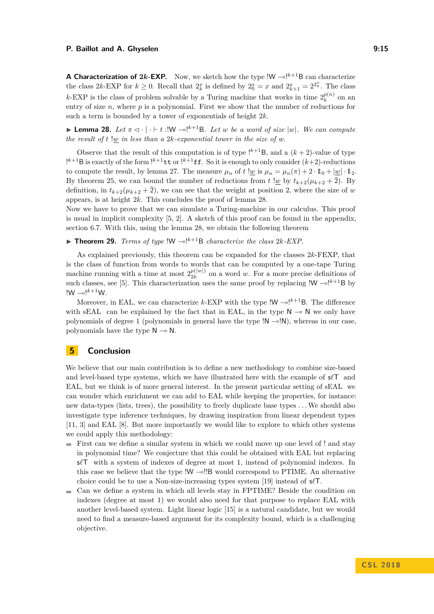#### **P. Baillot and A. Ghyselen 9:15 P. Baillot and A. Ghyselen**

**A Characterization of 2k-EXP.** Now, we sketch how the type  $W \sim l^{k+1}B$  can characterize the class 2k-EXP for  $k \geq 0$ . Recall that  $2_k^x$  is defined by  $2_0^x = x$  and  $2_{k+1}^x = 2^{2_k^x}$ . The class *k*-EXP is the class of problem solvable by a Turing machine that works in time  $2_k^{p(n)}$  $k^{(n)}$  on an entry of size  $n$ , where  $p$  is a polynomial. First we show that the number of reductions for such a term is bounded by a tower of exponentials of height 2*k*.

<span id="page-14-0"></span>**I Lemma 28.** Let  $\pi \triangleleft \cdot | \cdot \vdash t$  : !W  $\multimap^{k+1}B$ *. Let w* be a word of size  $|w|$ *. We can compute the result of t*  $\frac{dw}{w}$  *in less than a* 2*k-exponential tower in the size of w.* 

Observe that the result of this computation is of type  $!^{k+1}B$ , and a  $(k+2)$ -value of type  $!^{k+1}$ B is exactly of the form  $!^{k+1}$ tt or  $!^{k+1}$ ff. So it is enough to only consider  $(k+2)$ -reductions to compute the result, by lemma [27.](#page-13-1) The measure  $\mu_n$  of  $t \, !w$  is  $\mu_n = \mu_n(\pi) + 2 \cdot 1_0 + |w| \cdot 1_2$ . By theorem [25,](#page-13-2) we can bound the number of reductions from  $t \underline{w}$  by  $t_{k+2}(\mu_{k+2} + \tilde{2})$ . By definition, in  $t_{k+2}(\mu_{k+2} + \tilde{2})$ , we can see that the weight at position 2, where the size of *w* appears, is at height 2*k*. This concludes the proof of lemma [28.](#page-14-0)

Now we have to prove that we can simulate a Turing-machine in our calculus. This proof is usual in implicit complexity [\[5,](#page-15-17) [2\]](#page-15-4). A sketch of this proof can be found in the appendix, section [6.7.](#page-20-2) With this, using the lemma [28,](#page-14-0) we obtain the following theorem

 $\blacktriangleright$  **Theorem 29.** *Terms of type*  $!W - e!^{k+1}B$  *characterize the class 2k-EXP.* 

As explained previously, this theorem can be expanded for the classes 2*k*-FEXP, that is the class of function from words to words that can be computed by a one-tape Turing machine running with a time at most  $2^{p(|w|)}_{2k}$  $\frac{p(|w|)}{2k}$  on a word *w*. For a more precise definitions of such classes, see [\[5\]](#page-15-17). This characterization uses the same proof by replacing  $\mathsf{I} \mathsf{W} \sim \mathsf{I}^{k+1} \mathsf{B}$  by  $!W - 0!^{k+1}W$ .

Moreover, in EAL, we can characterize  $k$ -EXP with the type  $!W - e^{k+1}B$ . The difference with sEAL can be explained by the fact that in EAL, in the type  $N \sim N$  we only have polynomials of degree 1 (polynomials in general have the type  $\mathsf{N} \sim \mathsf{N}$ ), whereas in our case, polynomials have the type  $\mathsf{N} \multimap \mathsf{N}$ .

## **5 Conclusion**

We believe that our main contribution is to define a new methodology to combine size-based and level-based type systems, which we have illustrated here with the example of  $s/T$  and EAL, but we think is of more general interest. In the present particular setting of sEAL we can wonder which enrichment we can add to EAL while keeping the properties, for instance: new data-types (lists, trees), the possibility to freely duplicate base types . . .We should also investigate type inference techniques, by drawing inspiration from linear dependent types [\[11,](#page-15-18) [3\]](#page-15-12) and EAL [\[8\]](#page-15-19). But more importantly we would like to explore to which other systems we could apply this methodology:

- $\blacksquare$  First can we define a similar system in which we could move up one level of ! and stay in polynomial time? We conjecture that this could be obtained with EAL but replacing s $\ell$ T with a system of indexes of degree at most 1, instead of polynomial indexes. In this case we believe that the type  $!W \rightarrow !!B$  would correspond to PTIME. An alternative choice could be to use a Non-size-increasing types system [\[19\]](#page-15-6) instead of  $s/\mathcal{T}$ .
- Can we define a system in which all levels stay in FPTIME? Beside the condition on  $\mathbf{r}$ indexes (degree at most 1) we would also need for that purpose to replace EAL with another level-based system. Light linear logic [\[15\]](#page-15-3) is a natural candidate, but we would need to find a measure-based argument for its complexity bound, which is a challenging objective.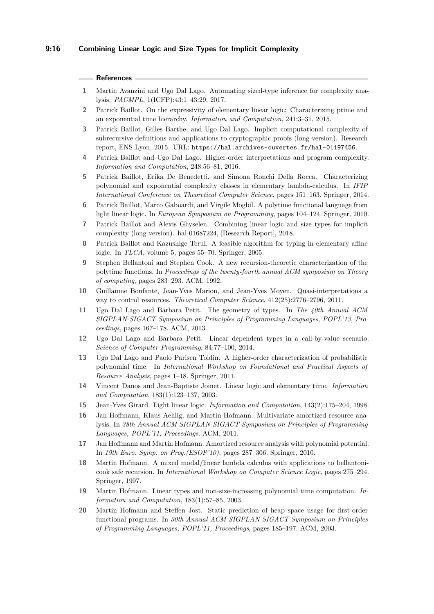## **9:16 Combining Linear Logic and Size Types for Implicit Complexity**

#### **References**

- <span id="page-15-14"></span>**1** Martin Avanzini and Ugo Dal Lago. Automating sized-type inference for complexity analysis. *PACMPL*, 1(ICFP):43:1–43:29, 2017.
- <span id="page-15-4"></span>**2** Patrick Baillot. On the expressivity of elementary linear logic: Characterizing ptime and an exponential time hierarchy. *Information and Computation*, 241:3–31, 2015.
- <span id="page-15-12"></span>**3** Patrick Baillot, Gilles Barthe, and Ugo Dal Lago. Implicit computational complexity of subrecursive definitions and applications to cryptographic proofs (long version). Research report, ENS Lyon, 2015. URL: <https://hal.archives-ouvertes.fr/hal-01197456>.
- <span id="page-15-11"></span>**4** Patrick Baillot and Ugo Dal Lago. Higher-order interpretations and program complexity. *Information and Computation*, 248:56–81, 2016.
- <span id="page-15-17"></span>**5** Patrick Baillot, Erika De Benedetti, and Simona Ronchi Della Rocca. Characterizing polynomial and exponential complexity classes in elementary lambda-calculus. In *IFIP International Conference on Theoretical Computer Science*, pages 151–163. Springer, 2014.
- <span id="page-15-13"></span>**6** Patrick Baillot, Marco Gaboardi, and Virgile Mogbil. A polytime functional language from light linear logic. In *European Symposium on Programming*, pages 104–124. Springer, 2010.
- <span id="page-15-16"></span>**7** Patrick Baillot and Alexis Ghyselen. Combining linear logic and size types for implicit complexity (long version). hal-01687224, [Research Report], 2018.
- <span id="page-15-19"></span>**8** Patrick Baillot and Kazushige Terui. A feasible algorithm for typing in elementary affine logic. In *TLCA*, volume 5, pages 55–70. Springer, 2005.
- <span id="page-15-0"></span>**9** Stephen Bellantoni and Stephen Cook. A new recursion-theoretic characterization of the polytime functions. In *Proceedings of the twenty-fourth annual ACM symposium on Theory of computing*, pages 283–293. ACM, 1992.
- <span id="page-15-10"></span>**10** Guillaume Bonfante, Jean-Yves Marion, and Jean-Yves Moyen. Quasi-interpretations a way to control resources. *Theoretical Computer Science*, 412(25):2776–2796, 2011.
- <span id="page-15-18"></span>**11** Ugo Dal Lago and Barbara Petit. The geometry of types. In *The 40th Annual ACM SIGPLAN-SIGACT Symposium on Principles of Programming Languages, POPL'13, Proceedings*, pages 167–178. ACM, 2013.
- <span id="page-15-15"></span>**12** Ugo Dal Lago and Barbara Petit. Linear dependent types in a call-by-value scenario. *Science of Computer Programming*, 84:77–100, 2014.
- <span id="page-15-2"></span>**13** Ugo Dal Lago and Paolo Parisen Toldin. A higher-order characterization of probabilistic polynomial time. In *International Workshop on Foundational and Practical Aspects of Resource Analysis*, pages 1–18. Springer, 2011.
- <span id="page-15-5"></span>**14** Vincent Danos and Jean-Baptiste Joinet. Linear logic and elementary time. *Information and Computation*, 183(1):123–137, 2003.
- <span id="page-15-3"></span>**15** Jean-Yves Girard. Light linear logic. *Information and Computation*, 143(2):175–204, 1998.
- <span id="page-15-9"></span>**16** Jan Hoffmann, Klaus Aehlig, and Martin Hofmann. Multivariate amortized resource analysis. In *38th Annual ACM SIGPLAN-SIGACT Symposium on Principles of Programming Languages, POPL'11, Proceedings*. ACM, 2011.
- <span id="page-15-8"></span>**17** Jan Hoffmann and Martin Hofmann. Amortized resource analysis with polynomial potential. In *19th Euro. Symp. on Prog.(ESOP'10)*, pages 287–306. Springer, 2010.
- <span id="page-15-1"></span>**18** Martin Hofmann. A mixed modal/linear lambda calculus with applications to bellantonicook safe recursion. In *International Workshop on Computer Science Logic*, pages 275–294. Springer, 1997.
- <span id="page-15-6"></span>**19** Martin Hofmann. Linear types and non-size-increasing polynomial time computation. *Information and Computation*, 183(1):57–85, 2003.
- <span id="page-15-7"></span>**20** Martin Hofmann and Steffen Jost. Static prediction of heap space usage for first-order functional programs. In *30th Annual ACM SIGPLAN-SIGACT Symposium on Principles of Programming Languages, POPL'11, Proceedings*, pages 185–197. ACM, 2003.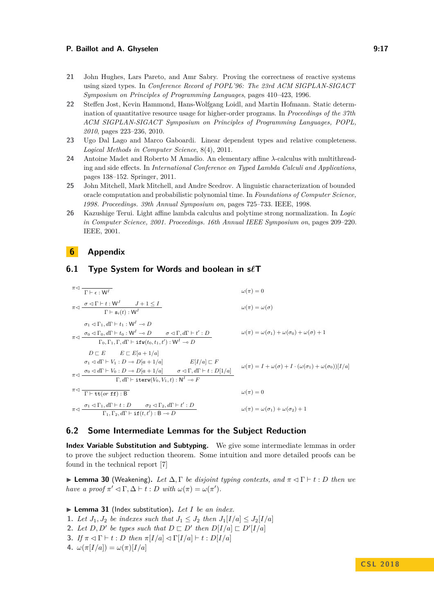#### **P. Baillot and A. Ghyselen 6:28 and 2.9 and 2.9 and 3.17**

- <span id="page-16-4"></span>**21** John Hughes, Lars Pareto, and Amr Sabry. Proving the correctness of reactive systems using sized types. In *Conference Record of POPL'96: The 23rd ACM SIGPLAN-SIGACT Symposium on Principles of Programming Languages*, pages 410–423, 1996.
- <span id="page-16-1"></span>**22** Steffen Jost, Kevin Hammond, Hans-Wolfgang Loidl, and Martin Hofmann. Static determination of quantitative resource usage for higher-order programs. In *Proceedings of the 37th ACM SIGPLAN-SIGACT Symposium on Principles of Programming Languages, POPL, 2010*, pages 223–236, 2010.
- <span id="page-16-3"></span>**23** Ugo Dal Lago and Marco Gaboardi. Linear dependent types and relative completeness. *Logical Methods in Computer Science*, 8(4), 2011.
- <span id="page-16-2"></span>**24** Antoine Madet and Roberto M Amadio. An elementary affine *λ*-calculus with multithreading and side effects. In *International Conference on Typed Lambda Calculi and Applications*, pages 138–152. Springer, 2011.
- <span id="page-16-0"></span>**25** John Mitchell, Mark Mitchell, and Andre Scedrov. A linguistic characterization of bounded oracle computation and probabilistic polynomial time. In *Foundations of Computer Science, 1998. Proceedings. 39th Annual Symposium on*, pages 725–733. IEEE, 1998.
- <span id="page-16-7"></span>**26** Kazushige Terui. Light affine lambda calculus and polytime strong normalization. In *Logic in Computer Science, 2001. Proceedings. 16th Annual IEEE Symposium on*, pages 209–220. IEEE, 2001.

## **6 Appendix**

## <span id="page-16-5"></span>**6.1 Type System for Words and boolean in s***`***T**

*π*C <sup>Γ</sup> ` : <sup>W</sup>*<sup>I</sup> <sup>ω</sup>*(*π*) = 0 *σ* C Γ ` *t* : W*<sup>J</sup> J* + 1 ≤ *I π*C Γ ` s*i*(*t*) : W*<sup>I</sup> ω*(*π*) = *ω*(*σ*) *σ*<sup>1</sup> C Γ1*, d*Γ ` *t*<sup>1</sup> : W*<sup>I</sup>* ( *D σ*<sup>0</sup> C Γ0*, d*Γ ` *t*<sup>0</sup> : W*<sup>I</sup>* ( *D σ* C Γ*, d*Γ ` *t* 0 : *D π*C Γ0*,* Γ1*,* Γ*, d*Γ ` ifw(*t*0*, t*1*, t*<sup>0</sup> ) : W*<sup>I</sup>* ( *D ω*(*π*) = *ω*(*σ*1) + *ω*(*σ*0) + *ω*(*σ*) + 1 *D* @ *E E* @ *E*[*a* + 1*/a*] *σ*<sup>1</sup> C *d*Γ ` *V*<sup>1</sup> : *D* ( *D*[*a* + 1*/a*] *σ*<sup>0</sup> C *d*Γ ` *V*<sup>0</sup> : *D* ( *D*[*a* + 1*/a*] *E*[*I/a*] @ *F σ* C Γ*, d*Γ ` *t* : *D*[1*/a*] *π*C Γ*, d*Γ ` iterw(*V*0*, V*1*, t*) : N *<sup>I</sup>* ( *F ω*(*π*) = *I* + *ω*(*σ*) + *I* · (*ω*(*σ*1) + *ω*(*σ*0))[*I/a*] *π*C <sup>Γ</sup> ` tt(*or* ff) : <sup>B</sup> *<sup>ω</sup>*(*π*) = 0 *σ*<sup>1</sup> C Γ1*, d*Γ ` *t* : *D σ*<sup>2</sup> C Γ2*, d*Γ ` *t* 0 : *D π*C Γ1*,* Γ2*, d*Γ ` if(*t, t*<sup>0</sup> ) : B ( *D ω*(*π*) = *ω*(*σ*1) + *ω*(*σ*2) + 1

## <span id="page-16-6"></span>**6.2 Some Intermediate Lemmas for the Subject Reduction**

**Index Variable Substitution and Subtyping.** We give some intermediate lemmas in order to prove the subject reduction theorem. Some intuition and more detailed proofs can be found in the technical report [\[7\]](#page-15-16)

 $▶$  **Lemma 30** (Weakening). Let  $\Delta$ , Γ *be disjoint typing contexts, and*  $\pi \triangleleft \Gamma$   $\vdash t : D$  *then we have a proof*  $\pi' \lhd \Gamma, \Delta \vdash t : D$  *with*  $\omega(\pi) = \omega(\pi').$ 

 $\blacktriangleright$  **Lemma 31** (Index substitution). Let *I* be an index.

- **1.** *Let*  $J_1, J_2$  *be indexes such that*  $J_1 \leq J_2$  *then*  $J_1[I/a] \leq J_2[I/a]$
- **2.** Let  $D, D'$  be types such that  $D \sqsubset D'$  then  $D[I/a] \sqsubset D'[I/a]$
- **3.** *If*  $\pi \lhd \Gamma$   $\vdash t : D$  *then*  $\pi$ [*I/a*]  $\lhd \Gamma$ [*I/a*]  $\vdash t : D$ [*I/a*]
- **4.**  $\omega(\pi[I/a]) = \omega(\pi)[I/a]$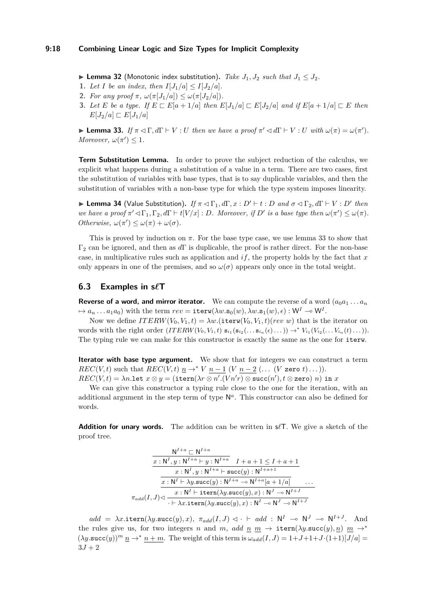#### **9:18 Combining Linear Logic and Size Types for Implicit Complexity**

- ▶ **Lemma 32** (Monotonic index substitution). *Take*  $J_1$ ,  $J_2$  *such that*  $J_1$  ≤  $J_2$ *.*
- **1.** *Let I be an index, then*  $I[J_1/a] < I[J_2/a]$ *.*
- 2. *For any proof*  $\pi$ ,  $\omega(\pi[J_1/a]) \leq \omega(\pi[J_2/a])$ .
- 3. Let E be a type. If  $E \sqsubset E[a+1/a]$  then  $E[J_1/a] \sqsubset E[J_2/a]$  and if  $E[a+1/a] \sqsubset E$  then  $E[J_2/a] \sqsubset E[J_1/a]$

<span id="page-17-1"></span>**Example 33.** If  $\pi \lhd \Gamma$ ,  $d\Gamma \vdash V : U$  then we have a proof  $\pi' \lhd d\Gamma \vdash V : U$  with  $\omega(\pi) = \omega(\pi')$ . *Moreover,*  $\omega(\pi') \leq 1$ *.* 

**Term Substitution Lemma.** In order to prove the subject reduction of the calculus, we explicit what happens during a substitution of a value in a term. There are two cases, first the substitution of variables with base types, that is to say duplicable variables, and then the substitution of variables with a non-base type for which the type system imposes linearity.

**Example 34** (Value Substitution). *If*  $\pi \lhd \Gamma_1, d\Gamma, x : D' \vdash t : D$  *and*  $\sigma \lhd \Gamma_2, d\Gamma \vdash V : D'$  *then we have a proof*  $\pi' \lhd \Gamma_1, \Gamma_2, d\Gamma \vdash t[V/x] : D$ *. Moreover, if*  $D'$  *is a base type then*  $\omega(\pi') \leq \omega(\pi)$ *. Otherwise,*  $\omega(\pi') \leq \omega(\pi) + \omega(\sigma)$ .

This is proved by induction on  $\pi$ . For the base type case, we use lemma [33](#page-17-1) to show that Γ<sup>2</sup> can be ignored, and then as *d*Γ is duplicable, the proof is rather direct. For the non-base case, in multiplicative rules such as application and *if*, the property holds by the fact that *x* only appears in one of the premises, and so  $\omega(\sigma)$  appears only once in the total weight.

## <span id="page-17-0"></span>**6.3 Examples in s***`***T**

**Reverse of a word, and mirror iterator.** We can compute the reverse of a word  $(a_0a_1 \ldots a_n)$  $\mapsto a_n \dots a_1 a_0$  with the term  $rev = \texttt{iterw}(\lambda w.\mathbf{s}_0(w), \lambda w.\mathbf{s}_1(w), \epsilon) : \mathsf{W}^I \multimap \mathsf{W}^I.$ 

Now we define  $ITERW(V_0, V_1, t) = \lambda w$ . (iterw( $V_0, V_1, t$ )(*rev w*) that is the iterator on words with the right order  $(ITERW(V_0, V_1, t) \mathbf{s}_{i_1}(\mathbf{s}_{i_2}(\ldots \mathbf{s}_{i_n}(\epsilon) \ldots)) \rightarrow^* V_{i_1}(V_{i_2}(\ldots V_{i_n}(t) \ldots)).$ The typing rule we can make for this constructor is exactly the same as the one for iterw.

**Iterator with base type argument.** We show that for integers we can construct a term  $REC(V, t)$  such that  $REC(V, t)$   $\underline{n} \rightarrow^* V$   $n-1$  (*V*  $n-2$  ( $\dots$  (*V* zero *t*) $\dots$ )).  $REC(V, t) = \lambda n.$ let  $x \otimes y = (\texttt{item}(\lambda r \otimes n'.(V n' r) \otimes \texttt{succ}(n'), t \otimes \texttt{zero}) \ n)$  in  $x$ 

We can give this constructor a typing rule close to the one for the iteration, with an additional argument in the step term of type N *a* . This constructor can also be defined for words.

**Addition for unary words.** The addition can be written in  $s\ell$ . We give a sketch of the proof tree.

$$
\frac{\mathsf{N}^{I+a} \sqsubset \mathsf{N}^{I+a}}{x:\mathsf{N}^I, y:\mathsf{N}^{I+a} \vdash y:\mathsf{N}^{I+a}} \quad I+a+1 \leq I+a+1
$$
\n
$$
\frac{x:\mathsf{N}^I, y:\mathsf{N}^{I+a} \vdash \textsf{succ}(y):\mathsf{N}^{I+a+1}}{x:\mathsf{N}^I \vdash \lambda y.\textsf{succ}(y):\mathsf{N}^{I+a} \multimap \mathsf{N}^{I+a}[a+1/a]} \dots
$$
\n
$$
\pi_{add}(I,J) \lhd \frac{x:\mathsf{N}^I \vdash \textsf{itern}(\lambda y.\textsf{succ}(y),x):\mathsf{N}^J \multimap \mathsf{N}^{I+J}}{\vdash \lambda x.\textsf{itern}(\lambda y.\textsf{succ}(y),x):\mathsf{N}^I \multimap \mathsf{N}^J \multimap \mathsf{N}^{I+J}}
$$

 $add = \lambda x.\texttt{itern}(\lambda y.\texttt{succ}(y), x), \ \pi_{add}(I, J) \lhd \cdot \vdash add : \ N^I \rightharpoonup N^J \rightharpoonup N^{I+J}.$  And the rules give us, for two integers *n* and *m*, *add*  $\underline{n}$   $\underline{m}$   $\rightarrow$  **itern**( $\lambda y$ .succ( $y$ ),  $\underline{n}$ )  $\underline{m}$   $\rightarrow$ \*  $(\lambda y.\text{succ}(y))^m$   $\underline{n} \rightarrow^* n + m$ . The weight of this term is  $\omega_{add}(I, J) = 1 + J + 1 + J \cdot (1+1)[J/a] =$  $3J + 2$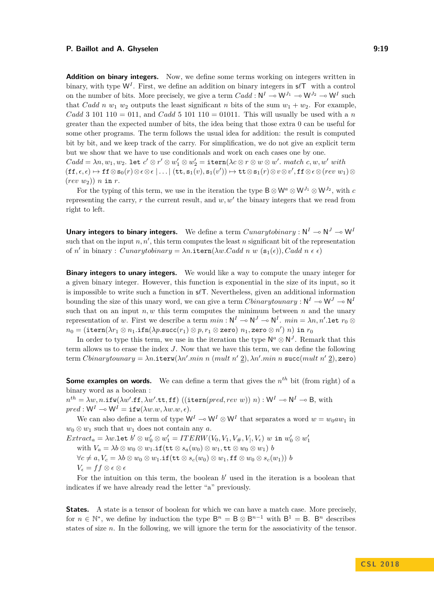#### **P. Baillot and A. Ghyselen 6:20 and 7:20 and 7:20 and 7:30 and 7:30 and 7:30 and 7:30 and 7:30 and 7:30 and 7:30 and 7:30 and 7:30 and 7:30 and 7:30 and 7:30 and 7:30 and 7:30 and 7:30 and 7:30 and 7:30 and 7:30 and 7:30**

**Addition on binary integers.** Now, we define some terms working on integers written in binary, with type  $W^I$ . First, we define an addition on binary integers in  $s\ell\mathsf{T}$  with a control on the number of bits. More precisely, we give a term  $Cadd : N^I \to W^{J_1} \to W^{J_2} \to W^I$  such that *Cadd n w*<sub>1</sub> *w*<sub>2</sub> outputs the least significant *n* bits of the sum  $w_1 + w_2$ . For example, *Cadd* 3 101 110 = 011, and *Cadd* 5 101 110 = 01011. This will usually be used with a *n* greater than the expected number of bits, the idea being that those extra 0 can be useful for some other programs. The term follows the usual idea for addition: the result is computed bit by bit, and we keep track of the carry. For simplification, we do not give an explicit term but we show that we have to use conditionals and work on each cases one by one.  $Cadd = \lambda n, w_1, w_2$ . let  $c' \otimes r' \otimes w_1' \otimes w_2' = \texttt{item}(\lambda c \otimes r \otimes w \otimes w'$ . match  $c, w, w'$  with  $(\texttt{ff}, \epsilon, \epsilon) \mapsto \texttt{ff} \otimes \mathbf{s}_0(r) \otimes \epsilon \otimes \epsilon | \ldots | (\texttt{tt}, \mathbf{s}_1(v), \mathbf{s}_1(v')) \mapsto \texttt{tt} \otimes \mathbf{s}_1(r) \otimes v \otimes v', \texttt{ff} \otimes \epsilon \otimes (rev \; w_1) \otimes$ (*rev w*2)) *n* in *r*.

For the typing of this term, we use in the iteration the type  $B \otimes W^a \otimes W^{J_1} \otimes W^{J_2}$ , with *c* representing the carry,  $r$  the current result, and  $w, w'$  the binary integers that we read from right to left.

**Unary integers to binary integers.** We define a term  $Cunaryto binary : N^I \to N^J \to W^I$ such that on the input  $n, n'$ , this term computes the least  $n$  significant bit of the representation of *n'* in binary : *Cunarytobinary* =  $\lambda n$ .itern( $\lambda w$ .*Cadd n w* ( $\mathbf{s}_1(\epsilon)$ ), *Cadd n*  $\epsilon \epsilon$ )

**Binary integers to unary integers.** We would like a way to compute the unary integer for a given binary integer. However, this function is exponential in the size of its input, so it is impossible to write such a function in  $s/\mathcal{T}$ . Nevertheless, given an additional information bounding the size of this unary word, we can give a term  $Chinarytounary : N^I \to N^J \to N^I$ such that on an input  $n, w$  this term computes the minimum between  $n$  and the unary representation of *w*. First we describe a term  $min : N^I \to N^J \to N^I$ .  $min = \lambda n, n'.$  Let  $r_0 \otimes$  $n_0 = (\texttt{itern}(\lambda r_1 \otimes n_1.\texttt{ifn}(\lambda p.\texttt{succ}(r_1) \otimes p, r_1 \otimes \texttt{zero}) \,\, n_1, \texttt{zero} \otimes n') \,\, n) \,$  in  $r_0$ 

In order to type this term, we use in the iteration the type  $\mathsf{N}^a \otimes \mathsf{N}^J$ . Remark that this term allows us to erase the index *J*. Now that we have this term, we can define the following  $\text{term } \textit{Cbinary}$ *tounary* =  $\lambda n$ .iterw $(\lambda n'.min \ n \ (mult \ n' \ 2), \lambda n'.min \ n \ \text{succ}(mult \ n' \ 2),$ zero)

**Some examples on words.** We can define a term that gives the  $n^{th}$  bit (from right) of a binary word as a boolean :

 $n^{th} = \lambda w, n.\texttt{ifw}(\lambda w'.\texttt{ff}, \lambda w'.\texttt{tf}, \texttt{ff})\ ((\texttt{item}(pred, rev\; w))\; n) : \mathsf{W}^I \multimap \mathsf{N}^I \multimap \mathsf{B}, \text{ with}$  $pred : W^I \rightarrow W^I = \textbf{ifw}(\lambda w.w, \lambda w.w, \epsilon).$ 

We can also define a term of type  $\mathsf{W}^I \multimap \mathsf{W}^I \otimes \mathsf{W}^I$  that separates a word  $w = w_0 a w_1$  in  $w_0 \otimes w_1$  such that  $w_1$  does not contain any *a*.

 $Extract_a=\lambda w.\texttt{let } b' \otimes w'_0 \otimes w'_1 = ITERW(V_0,V_1,V_{\#},V_|,V_{\epsilon}) \text{ w in } w'_0 \otimes w'_1$ with  $V_a = \lambda b \otimes w_0 \otimes w_1 \cdot \text{if}(\text{tt} \otimes s_a(w_0) \otimes w_1, \text{tt} \otimes w_0 \otimes w_1)$  *b*  $\forall c \neq a, V_c = \lambda b \otimes w_0 \otimes w_1 \cdot \text{if}(\text{tt} \otimes s_c(w_0) \otimes w_1, \text{ff} \otimes w_0 \otimes s_c(w_1))$  *b*  $V_{\epsilon} = f f \otimes \epsilon \otimes \epsilon$ 

For the intuition on this term, the boolean  $b'$  used in the iteration is a boolean that indicates if we have already read the letter "a" previously.

**States.** A state is a tensor of boolean for which we can have a match case. More precisely, for  $n \in \mathbb{N}^*$ , we define by induction the type  $B^n = B \otimes B^{n-1}$  with  $B^1 = B$ . B<sup>n</sup> describes states of size *n*. In the following, we will ignore the term for the associativity of the tensor.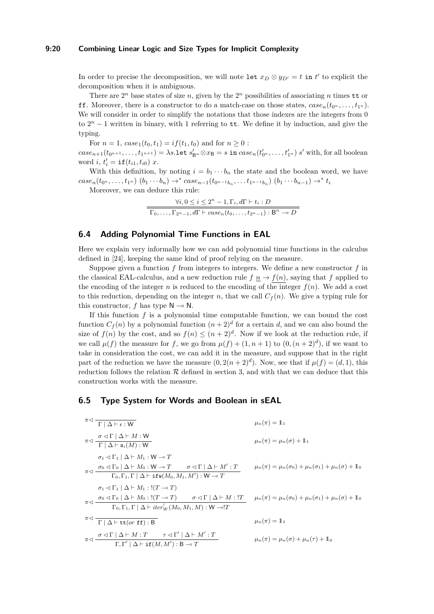### **9:20 Combining Linear Logic and Size Types for Implicit Complexity**

In order to precise the decomposition, we will note let  $x_D \otimes y_{D'} = t$  in  $t'$  to explicit the decomposition when it is ambiguous.

There are  $2^n$  base states of size *n*, given by the  $2^n$  possibilities of associating *n* times tt or **ff.** Moreover, there is a constructor to do a match-case on those states,  $case_n(t_0, \ldots, t_{1^n})$ . We will consider in order to simplify the notations that those indexes are the integers from 0 to  $2<sup>n</sup> - 1$  written in binary, with 1 referring to **tt**. We define it by induction, and give the typing.

For  $n = 1$ ,  $case_1(t_0, t_1) = if(t_1, t_0)$  and for  $n \ge 0$ :

 $case_{n+1}(t_{0^{n+1}},\ldots,t_{1^{n+1}}) = \lambda s.\mathtt{let}\ s'_{\mathsf{B}^n}\otimes x_\mathsf{B} = s\ \mathtt{in}\ case_n(t'_{0^n},\ldots,t'_{1^n})\ s' \ \mathtt{with, for\ all\ boolean}$ word *i*,  $t'_{i} = \text{if}(t_{i1}, t_{i0})$  *x*.

With this definition, by noting  $i = b_1 \cdots b_n$  the state and the boolean word, we have  $case_n(t_{0^n},...,t_{1^n})$   $(b_1 \cdots b_n) \rightarrow^* case_{n-1}(t_{0^{n-1}b_n},...t_{1^{n-1}b_n})$   $(b_1 \cdots b_{n-1}) \rightarrow^* t_n$ 

Moreover, we can deduce this rule:

$$
\frac{\forall i, 0 \leq i \leq 2^{n} - 1, \Gamma_{i}, d\Gamma \vdash t_{i} : D}{\Gamma_{0}, \dots, \Gamma_{2^{n}-1}, d\Gamma \vdash case_{n}(t_{0}, \dots, t_{2^{n}-1}) : \mathsf{B}^{n} \multimap D}
$$

## <span id="page-19-0"></span>**6.4 Adding Polynomial Time Functions in EAL**

Here we explain very informally how we can add polynomial time functions in the calculus defined in [\[24\]](#page-16-2), keeping the same kind of proof relying on the measure.

Suppose given a function *f* from integers to integers. We define a new constructor *f* in the classical EAL-calculus, and a new reduction rule  $f \, n \to f(n)$ , saying that *f* applied to the encoding of the integer  $n$  is reduced to the encoding of the integer  $f(n)$ . We add a cost to this reduction, depending on the integer *n*, that we call  $C_f(n)$ . We give a typing rule for this constructor,  $f$  has type  $\mathsf{N} \to \mathsf{N}$ .

If this function  $f$  is a polynomial time computable function, we can bound the cost function  $C_f(n)$  by a polynomial function  $(n+2)^d$  for a certain *d*, and we can also bound the size of  $f(n)$  by the cost, and so  $f(n) \leq (n+2)^d$ . Now if we look at the reduction rule, if we call  $\mu(f)$  the measure for *f*, we go from  $\mu(f) + (1, n + 1)$  to  $(0, (n + 2)^d)$ , if we want to take in consideration the cost, we can add it in the measure, and suppose that in the right part of the reduction we have the measure  $(0, 2(n+2)^d)$ . Now, see that if  $\mu(f) = (d, 1)$ , this reduction follows the relation  $R$  defined in section [3,](#page-6-0) and with that we can deduce that this construction works with the measure.

## <span id="page-19-1"></span>**6.5 Type System for Words and Boolean in sEAL**

$$
\pi \triangleleft \frac{\sigma \triangleleft \Gamma | \triangle + M : W}{\Gamma | \triangle + s_i(M) : W} \qquad \mu_n(\pi) = 1_1
$$
\n
$$
\pi \triangleleft \frac{\sigma \triangleleft \Gamma | \triangle + M : W}{\Gamma | \triangle + s_i(M) : W} \qquad \mu_n(\pi) = \mu_n(\sigma) + 1_1
$$
\n
$$
\sigma_1 \triangleleft \Gamma_1 | \triangle + M_1 : W \multimap T \qquad \sigma \triangleleft \Gamma | \triangle + M' : T \qquad \mu_n(\pi) = \mu_n(\sigma_0) + \mu_n(\sigma_1) + \mu_n(\sigma) + 1_0
$$
\n
$$
\tau \triangleleft \frac{\sigma_0 \triangleleft \Gamma_0 | \triangle + M_0 : W \multimap T}{\Gamma_0, \Gamma_1, \Gamma | \triangle + \text{ifw}(M_0, M_1, M') : W \multimap T} \qquad \mu_n(\pi) = \mu_n(\sigma_0) + \mu_n(\sigma_1) + \mu_n(\sigma) + 1_0
$$
\n
$$
\tau \triangleleft \frac{\sigma_0 \triangleleft \Gamma_0 | \triangle + M_0 : !(T \multimap T) \qquad \sigma \triangleleft \Gamma | \triangle + M : !T}{\Gamma_0, \Gamma_1, \Gamma | \triangle + \text{iter}_{W}^{1}(M_0, M_1, M) : W \multimap !T} \qquad \mu_n(\pi) = \mu_n(\sigma_0) + \mu_n(\sigma_1) + \mu_n(\sigma) + 1_0
$$
\n
$$
\tau \triangleleft \frac{\sigma \triangleleft \Gamma | \triangle + M : T \qquad \tau \triangleleft \Gamma' | \triangle + M' : T}{\Gamma | \triangle + \text{tf}(M, M') : B \multimap T} \qquad \mu_n(\pi) = \mu_n(\sigma) + \mu_n(\tau) + 1_0
$$